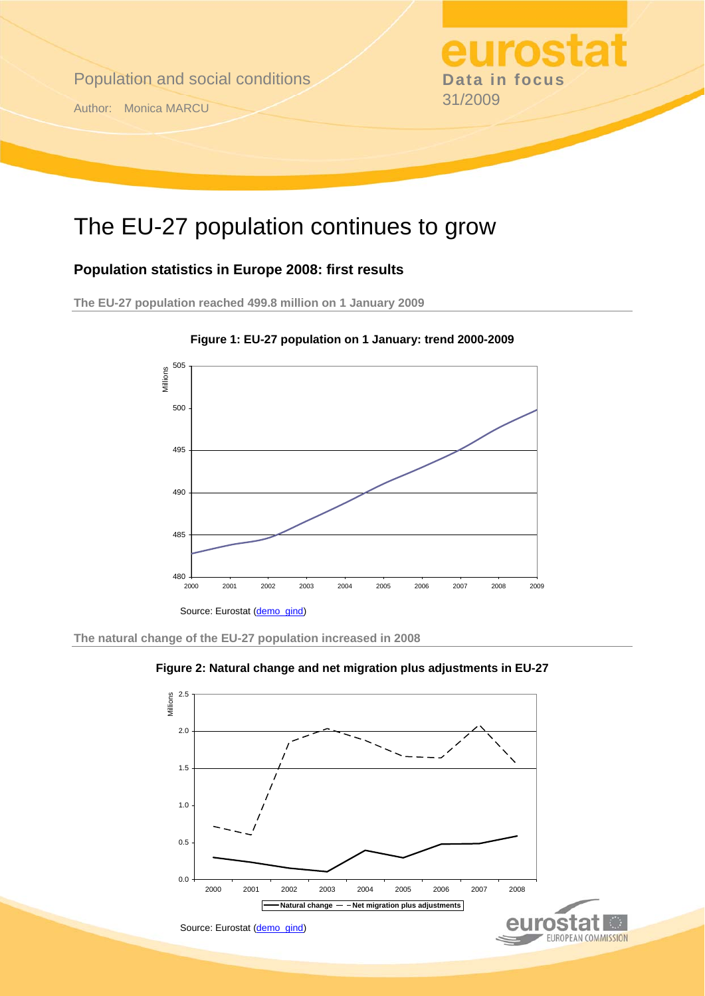

# The EU-27 population continues to grow

### **Population statistics in Europe 2008: first results**

**The EU-27 population reached 499.8 million on 1 January 2009** 





**The natural change of the EU-27 population increased in 2008** 



**Figure 2: Natural change and net migration plus adjustments in EU-27**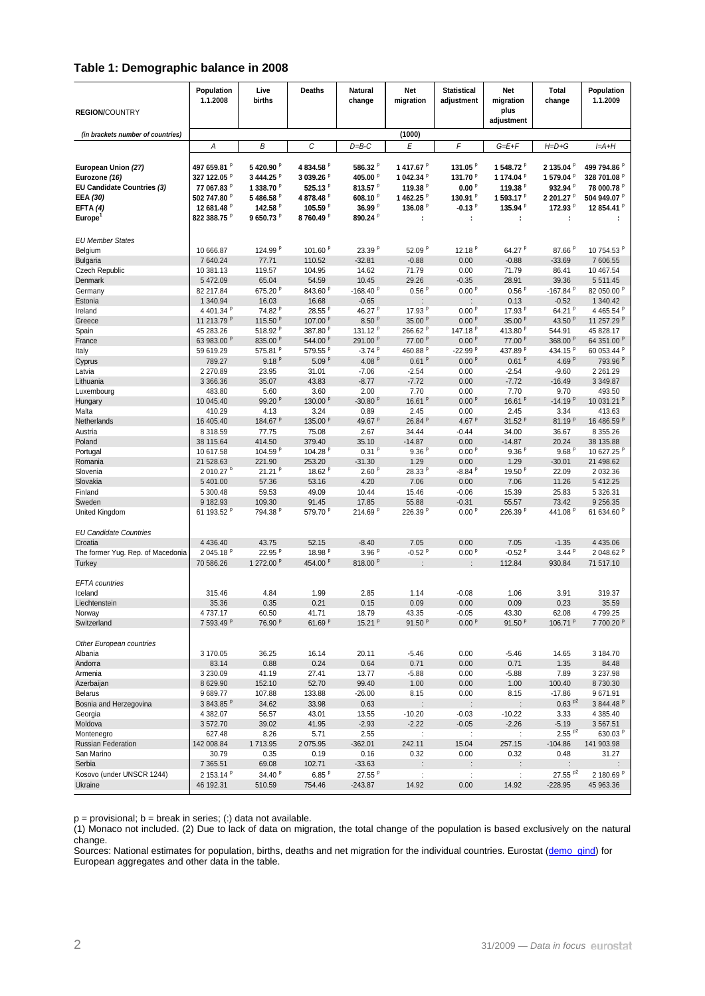#### **Table 1: Demographic balance in 2008**

| <b>REGION/COUNTRY</b>                                                                                                    | Population<br>1.1.2008                                                                     | Live<br>births                                                                                                          | Deaths                                                                                                                  | <b>Natural</b><br>change                                                                                                 | Net<br>migration                                                                                         | <b>Statistical</b><br>adjustment                                                    | Net<br>migration<br>plus<br>adjustment                                                               | Total<br>change                                                                           | Population<br>1.1.2009                                                                     |
|--------------------------------------------------------------------------------------------------------------------------|--------------------------------------------------------------------------------------------|-------------------------------------------------------------------------------------------------------------------------|-------------------------------------------------------------------------------------------------------------------------|--------------------------------------------------------------------------------------------------------------------------|----------------------------------------------------------------------------------------------------------|-------------------------------------------------------------------------------------|------------------------------------------------------------------------------------------------------|-------------------------------------------------------------------------------------------|--------------------------------------------------------------------------------------------|
| (in brackets number of countries)                                                                                        |                                                                                            |                                                                                                                         |                                                                                                                         |                                                                                                                          | (1000)                                                                                                   |                                                                                     |                                                                                                      |                                                                                           |                                                                                            |
|                                                                                                                          | Α                                                                                          | В                                                                                                                       | С                                                                                                                       | $D=$ B-C                                                                                                                 | E                                                                                                        | F                                                                                   | $G=E+F$                                                                                              | $H = D + G$                                                                               | $I=A+H$                                                                                    |
| European Union (27)<br>Eurozone (16)<br>EU Candidate Countries (3)<br>EEA (30)<br><b>EFTA (4)</b><br>Europe <sup>1</sup> | 497 659.81 P<br>327 122.05 P<br>77 067.83 P<br>502 747.80 P<br>12 681.48 P<br>822 388.75 P | 5420.90 <sup>P</sup><br>3 444.25 P<br>1 338.70 P<br>5486.58 <sup>P</sup><br>142.58 <sup>P</sup><br>9650.73 <sup>P</sup> | 4834.58 <sup>P</sup><br>3 039.26 P<br>525.13 $P$<br>4878.48 <sup>P</sup><br>105.59 <sup>P</sup><br>8760.49 <sup>P</sup> | 586.32 <sup>P</sup><br>405.00 <sup>P</sup><br>813.57 $^{\circ}$<br>608.10 <sup>P</sup><br>36.99 P<br>890.24 <sup>P</sup> | 1417.67 <sup>P</sup><br>1 042.34 P<br>119.38 <sup>P</sup><br>1462.25 <sup>P</sup><br>136.08 <sup>P</sup> | 131.05 $P$<br>131.70 <sup>p</sup><br>0.00P<br>130.91 $P$<br>$-0.13$ $^{\circ}$<br>÷ | 1 548.72 P<br>1174.04 <sup>P</sup><br>119.38 $P$<br>1593.17 <sup>P</sup><br>135.94 <sup>P</sup><br>÷ | 2 135.04 P<br>1 579.04 P<br>932.94 <sup>P</sup><br>2 201.27 P<br>172.93 <sup>P</sup><br>÷ | 499 794.86 <sup>P</sup><br>328 701.08 P<br>78 000.78 P<br>504 949.07 P<br>12 854.41 P<br>÷ |
| <b>EU Member States</b>                                                                                                  |                                                                                            |                                                                                                                         |                                                                                                                         |                                                                                                                          |                                                                                                          |                                                                                     |                                                                                                      |                                                                                           |                                                                                            |
| Belgium                                                                                                                  | 10 666.87                                                                                  | 124.99 P                                                                                                                | 101.60 <sup>P</sup>                                                                                                     | 23.39 <sup>P</sup>                                                                                                       | 52.09 $P$                                                                                                | 12.18 $P$                                                                           | 64.27 <sup>P</sup>                                                                                   | 87.66 P                                                                                   | 10 754.53 P                                                                                |
| <b>Bulgaria</b>                                                                                                          | 7 640.24                                                                                   | 77.71                                                                                                                   | 110.52                                                                                                                  | $-32.81$                                                                                                                 | $-0.88$                                                                                                  | 0.00                                                                                | $-0.88$                                                                                              | $-33.69$                                                                                  | 7 606.55                                                                                   |
| Czech Republic                                                                                                           | 10 381.13                                                                                  | 119.57                                                                                                                  | 104.95                                                                                                                  | 14.62                                                                                                                    | 71.79                                                                                                    | 0.00                                                                                | 71.79                                                                                                | 86.41                                                                                     | 10 467.54                                                                                  |
| Denmark                                                                                                                  | 5 472.09                                                                                   | 65.04                                                                                                                   | 54.59                                                                                                                   | 10.45                                                                                                                    | 29.26                                                                                                    | $-0.35$                                                                             | 28.91                                                                                                | 39.36                                                                                     | 5 5 1 1 . 4 5                                                                              |
| Germany                                                                                                                  | 82 217.84                                                                                  | 675.20 <sup>P</sup>                                                                                                     | 843.60 <sup>P</sup>                                                                                                     | $-168.40$ P                                                                                                              | 0.56 <sup>p</sup>                                                                                        | 0.00P                                                                               | 0.56 <sup>p</sup>                                                                                    | $-167.84$ P                                                                               | 82 050.00 P                                                                                |
| Estonia<br>Ireland                                                                                                       | 1 340.94<br>4 401.34 P                                                                     | 16.03<br>74.82 <sup>P</sup>                                                                                             | 16.68<br>28.55P                                                                                                         | $-0.65$<br>46.27 <sup>P</sup>                                                                                            | ÷<br>17.93 <sup>p</sup>                                                                                  | ÷<br>0.00P                                                                          | 0.13<br>17.93 <sup>P</sup>                                                                           | $-0.52$<br>64.21 P                                                                        | 1 340.42<br>4 465.54 P                                                                     |
| Greece                                                                                                                   | 11 213.79 P                                                                                | 115.50 <sup>P</sup>                                                                                                     | 107.00 <sup>P</sup>                                                                                                     | 8.50 <sup>p</sup>                                                                                                        | 35.00 $P$                                                                                                | 0.00P                                                                               | 35.00 $P$                                                                                            | 43.50 <sup>P</sup>                                                                        | 11 257.29 P                                                                                |
| Spain                                                                                                                    | 45 283.26                                                                                  | 518.92 <sup>P</sup>                                                                                                     | 387.80 <sup>P</sup>                                                                                                     | 131.12 <sup>P</sup>                                                                                                      | 266.62 <sup>P</sup>                                                                                      | 147.18 <sup>P</sup>                                                                 | 413.80 <sup>P</sup>                                                                                  | 544.91                                                                                    | 45 828.17                                                                                  |
| France                                                                                                                   | 63 983.00 P                                                                                | 835.00 <sup>P</sup>                                                                                                     | 544.00 <sup>P</sup>                                                                                                     | 291.00 <sup>P</sup>                                                                                                      | 77.00 <sup>P</sup>                                                                                       | 0.00P                                                                               | 77.00 <sup>P</sup>                                                                                   | 368.00 <sup>P</sup>                                                                       | 64 351.00 P                                                                                |
| Italy                                                                                                                    | 59 619.29                                                                                  | 575.81 <sup>P</sup>                                                                                                     | 579.55 <sup>P</sup>                                                                                                     | $-3.74P$                                                                                                                 | 460.88 <sup>P</sup>                                                                                      | $-22.99$ <sup>P</sup>                                                               | 437.89 <sup>P</sup>                                                                                  | 434.15 $P$                                                                                | 60 053.44 P                                                                                |
| Cyprus                                                                                                                   | 789.27                                                                                     | $9.18^{p}$                                                                                                              | 5.09 <sup>p</sup>                                                                                                       | 4.08 $P$                                                                                                                 | 0.61 <sup>p</sup>                                                                                        | 0.00P                                                                               | 0.61 <sup>p</sup>                                                                                    | 4.69 $P$                                                                                  | 793.96 <sup>P</sup>                                                                        |
| Latvia                                                                                                                   | 2 270.89                                                                                   | 23.95                                                                                                                   | 31.01                                                                                                                   | $-7.06$                                                                                                                  | $-2.54$                                                                                                  | 0.00                                                                                | $-2.54$                                                                                              | $-9.60$                                                                                   | 2 2 6 1 . 2 9                                                                              |
| Lithuania                                                                                                                | 3 3 66.36                                                                                  | 35.07                                                                                                                   | 43.83                                                                                                                   | $-8.77$                                                                                                                  | $-7.72$                                                                                                  | 0.00                                                                                | $-7.72$                                                                                              | $-16.49$                                                                                  | 3 3 4 9 . 8 7                                                                              |
| Luxembourg                                                                                                               | 483.80                                                                                     | 5.60                                                                                                                    | 3.60                                                                                                                    | 2.00                                                                                                                     | 7.70                                                                                                     | 0.00                                                                                | 7.70                                                                                                 | 9.70                                                                                      | 493.50                                                                                     |
| Hungary                                                                                                                  | 10 045.40<br>410.29                                                                        | 99.20 <sup>P</sup><br>4.13                                                                                              | 130.00 <sup>P</sup><br>3.24                                                                                             | $-30.80P$<br>0.89                                                                                                        | 16.61 P<br>2.45                                                                                          | 0.00P<br>0.00                                                                       | 16.61 $P$<br>2.45                                                                                    | $-14.19P$<br>3.34                                                                         | 10 031.21 P<br>413.63                                                                      |
| Malta<br>Netherlands                                                                                                     | 16 405.40                                                                                  | 184.67 <sup>P</sup>                                                                                                     | 135.00 <sup>P</sup>                                                                                                     | 49.67 <sup>P</sup>                                                                                                       | 26.84 <sup>P</sup>                                                                                       | 4.67 $P$                                                                            | $31.52$ <sup>P</sup>                                                                                 | 81.19 <sup>P</sup>                                                                        | 16 486.59 P                                                                                |
| Austria                                                                                                                  | 8 318.59                                                                                   | 77.75                                                                                                                   | 75.08                                                                                                                   | 2.67                                                                                                                     | 34.44                                                                                                    | $-0.44$                                                                             | 34.00                                                                                                | 36.67                                                                                     | 8 355.26                                                                                   |
| Poland                                                                                                                   | 38 115.64                                                                                  | 414.50                                                                                                                  | 379.40                                                                                                                  | 35.10                                                                                                                    | $-14.87$                                                                                                 | 0.00                                                                                | $-14.87$                                                                                             | 20.24                                                                                     | 38 135.88                                                                                  |
| Portugal                                                                                                                 | 10 617.58                                                                                  | 104.59 <sup>P</sup>                                                                                                     | 104.28 $P$                                                                                                              | $0.31^{p}$                                                                                                               | 9.36 <sup>p</sup>                                                                                        | 0.00P                                                                               | 9.36 <sup>p</sup>                                                                                    | 9.68 <sup>p</sup>                                                                         | 10 627.25 P                                                                                |
| Romania                                                                                                                  | 21 528.63                                                                                  | 221.90                                                                                                                  | 253.20                                                                                                                  | $-31.30$                                                                                                                 | 1.29                                                                                                     | 0.00                                                                                | 1.29                                                                                                 | $-30.01$                                                                                  | 21 498.62                                                                                  |
| Slovenia                                                                                                                 | 2 010.27 <sup>b</sup>                                                                      | $21.21^{p}$                                                                                                             | 18.62 $P$                                                                                                               | 2.60 <sup>p</sup>                                                                                                        | 28.33 <sup>P</sup>                                                                                       | -8.84 <sup>P</sup>                                                                  | 19.50 $P$                                                                                            | 22.09                                                                                     | 2 032.36                                                                                   |
| Slovakia                                                                                                                 | 5 401.00                                                                                   | 57.36                                                                                                                   | 53.16                                                                                                                   | 4.20                                                                                                                     | 7.06                                                                                                     | 0.00                                                                                | 7.06                                                                                                 | 11.26                                                                                     | 5 412.25                                                                                   |
| Finland                                                                                                                  | 5 300.48                                                                                   | 59.53                                                                                                                   | 49.09                                                                                                                   | 10.44                                                                                                                    | 15.46                                                                                                    | $-0.06$                                                                             | 15.39                                                                                                | 25.83                                                                                     | 5 326.31                                                                                   |
| Sweden                                                                                                                   | 9 182.93                                                                                   | 109.30                                                                                                                  | 91.45                                                                                                                   | 17.85                                                                                                                    | 55.88                                                                                                    | $-0.31$                                                                             | 55.57                                                                                                | 73.42                                                                                     | 9 256.35                                                                                   |
| United Kingdom<br><b>EU Candidate Countries</b>                                                                          | 61 193.52 P                                                                                | 794.38 <sup>P</sup>                                                                                                     | 579.70 <sup>P</sup>                                                                                                     | 214.69 <sup>P</sup>                                                                                                      | 226.39 <sup>P</sup>                                                                                      | 0.00 <sup>p</sup>                                                                   | 226.39 <sup>P</sup>                                                                                  | 441.08 <sup>P</sup>                                                                       | 61 634.60 P                                                                                |
| Croatia                                                                                                                  | 4 4 3 6.40                                                                                 | 43.75                                                                                                                   | 52.15                                                                                                                   | $-8.40$                                                                                                                  | 7.05                                                                                                     | 0.00                                                                                | 7.05                                                                                                 | $-1.35$                                                                                   | 4 4 3 5 . 0 6                                                                              |
| The former Yug. Rep. of Macedonia                                                                                        | 2045.18 <sup>P</sup>                                                                       | 22.95 <sup>P</sup>                                                                                                      | 18.98 <sup>P</sup>                                                                                                      | 3.96P                                                                                                                    | $-0.52$ <sup>P</sup>                                                                                     | 0.00P                                                                               | $-0.52$ <sup>P</sup>                                                                                 | 3.44P                                                                                     | 2048.62 <sup>P</sup>                                                                       |
| Turkey                                                                                                                   | 70 586.26                                                                                  | 1 272.00 P                                                                                                              | 454.00 <sup>P</sup>                                                                                                     | 818.00 <sup>P</sup>                                                                                                      |                                                                                                          |                                                                                     | 112.84                                                                                               | 930.84                                                                                    | 71 517.10                                                                                  |
| <b>EFTA</b> countries                                                                                                    |                                                                                            |                                                                                                                         |                                                                                                                         |                                                                                                                          |                                                                                                          |                                                                                     |                                                                                                      |                                                                                           |                                                                                            |
| Iceland                                                                                                                  | 315.46                                                                                     | 4.84                                                                                                                    | 1.99                                                                                                                    | 2.85                                                                                                                     | 1.14                                                                                                     | $-0.08$                                                                             | 1.06                                                                                                 | 3.91                                                                                      | 319.37                                                                                     |
| Liechtenstein                                                                                                            | 35.36                                                                                      | 0.35                                                                                                                    | 0.21<br>41.71                                                                                                           | 0.15                                                                                                                     | 0.09                                                                                                     | 0.00                                                                                | 0.09                                                                                                 | 0.23                                                                                      | 35.59                                                                                      |
| Norway<br>Switzerland                                                                                                    | 4 /3/.1/<br>7 593.49 P                                                                     | 60.50<br>76.90 <sup>P</sup>                                                                                             | 61.69 <sup>p</sup>                                                                                                      | 18.79<br>15.21 $P$                                                                                                       | 43.35<br>91.50 <sup>P</sup>                                                                              | -0.05<br>0.00P                                                                      | 43.30<br>91.50 <sup>p</sup>                                                                          | 62.08<br>106.71 P                                                                         | 4 / 99.25<br>7 700.20 <sup>P</sup>                                                         |
| Other European countries                                                                                                 |                                                                                            |                                                                                                                         |                                                                                                                         |                                                                                                                          |                                                                                                          |                                                                                     |                                                                                                      |                                                                                           |                                                                                            |
| Albania                                                                                                                  | 3 170.05                                                                                   | 36.25                                                                                                                   | 16.14                                                                                                                   | 20.11                                                                                                                    | $-5.46$                                                                                                  | 0.00                                                                                | $-5.46$                                                                                              | 14.65                                                                                     | 3 184.70                                                                                   |
| Andorra                                                                                                                  | 83.14                                                                                      | 0.88                                                                                                                    | 0.24                                                                                                                    | 0.64                                                                                                                     | 0.71                                                                                                     | 0.00                                                                                | 0.71                                                                                                 | 1.35                                                                                      | 84.48                                                                                      |
| Armenia                                                                                                                  | 3 2 3 0.09                                                                                 | 41.19                                                                                                                   | 27.41                                                                                                                   | 13.77                                                                                                                    | $-5.88$                                                                                                  | 0.00                                                                                | $-5.88$                                                                                              | 7.89                                                                                      | 3 2 3 7 . 9 8                                                                              |
| Azerbaijan                                                                                                               | 8 629.90                                                                                   | 152.10                                                                                                                  | 52.70                                                                                                                   | 99.40                                                                                                                    | 1.00                                                                                                     | 0.00                                                                                | 1.00                                                                                                 | 100.40                                                                                    | 8730.30                                                                                    |
| <b>Belarus</b><br>Bosnia and Herzegovina                                                                                 | 9 689.77<br>3843.85 <sup>P</sup>                                                           | 107.88<br>34.62                                                                                                         | 133.88<br>33.98                                                                                                         | $-26.00$<br>0.63                                                                                                         | 8.15                                                                                                     | 0.00                                                                                | 8.15                                                                                                 | $-17.86$<br>$0.63^{p2}$                                                                   | 9671.91<br>3844.48 <sup>P</sup>                                                            |
| Georgia                                                                                                                  | 4 382.07                                                                                   | 56.57                                                                                                                   | 43.01                                                                                                                   | 13.55                                                                                                                    | $\vdots$<br>$-10.20$                                                                                     | $\vdots$<br>$-0.03$                                                                 | $\ddot{\cdot}$<br>$-10.22$                                                                           | 3.33                                                                                      | 4 385.40                                                                                   |
| Moldova                                                                                                                  | 3572.70                                                                                    | 39.02                                                                                                                   | 41.95                                                                                                                   | $-2.93$                                                                                                                  | $-2.22$                                                                                                  | $-0.05$                                                                             | $-2.26$                                                                                              | $-5.19$                                                                                   | 3567.51                                                                                    |
| Montenegro                                                                                                               | 627.48                                                                                     | 8.26                                                                                                                    | 5.71                                                                                                                    | 2.55                                                                                                                     | ÷                                                                                                        | $\ddot{\phantom{a}}$ :                                                              | ÷                                                                                                    | $2.55^{p2}$                                                                               | 630.03 <sup>P</sup>                                                                        |
| Russian Federation                                                                                                       | 142 008.84                                                                                 | 1713.95                                                                                                                 | 2075.95                                                                                                                 | $-362.01$                                                                                                                | 242.11                                                                                                   | 15.04                                                                               | 257.15                                                                                               | $-104.86$                                                                                 | 141 903.98                                                                                 |
| San Marino                                                                                                               | 30.79                                                                                      | 0.35                                                                                                                    | 0.19                                                                                                                    | 0.16                                                                                                                     | 0.32                                                                                                     | 0.00                                                                                | 0.32                                                                                                 | 0.48                                                                                      | 31.27                                                                                      |
| Serbia                                                                                                                   | 7 365.51                                                                                   | 69.08                                                                                                                   | 102.71                                                                                                                  | $-33.63$                                                                                                                 |                                                                                                          |                                                                                     |                                                                                                      |                                                                                           |                                                                                            |
| Kosovo (under UNSCR 1244)<br>Ukraine                                                                                     | 2 153.14 P<br>46 192.31                                                                    | 34.40 $P$<br>510.59                                                                                                     | $6.85^{p}$<br>754.46                                                                                                    | 27.55 <sup>P</sup><br>$-243.87$                                                                                          | $\ddot{\phantom{a}}$<br>14.92                                                                            | $\ddot{\phantom{a}}$<br>0.00                                                        | ÷<br>14.92                                                                                           | $27.55$ <sup>p2</sup><br>$-228.95$                                                        | 2 180.69 <sup>P</sup><br>45 963.36                                                         |

 $p =$  provisional;  $b =$  break in series; (:) data not available.

(1) Monaco not included. (2) Due to lack of data on migration, the total change of the population is based exclusively on the natural change.

Sources: National estimates for population, births, deaths and net migration for the individual countries. Eurostat [\(demo\\_gind](http://nui.epp.eurostat.ec.europa.eu/nui/show.do?dataset=demo_gind&lang=en)) for European aggregates and other data in the table.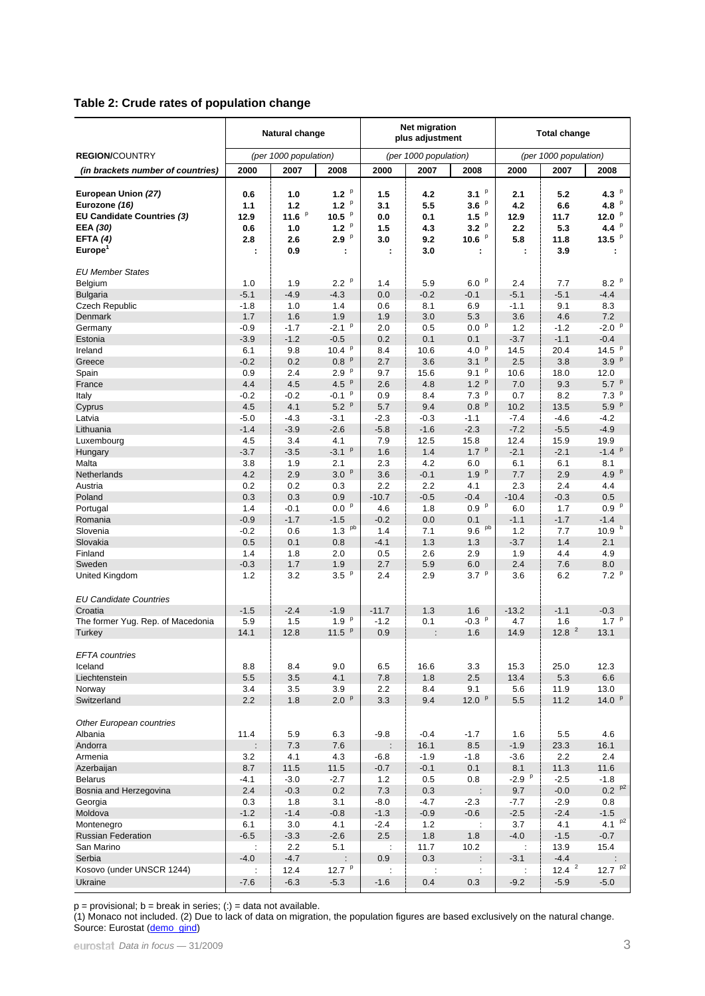#### **Table 2: Crude rates of population change**

|                                                                                                                            | Natural change                        |                                             |                                                              |                                          | Net migration<br>plus adjustment       |                                                                                     | <b>Total change</b>                      |                                          |                                                            |  |
|----------------------------------------------------------------------------------------------------------------------------|---------------------------------------|---------------------------------------------|--------------------------------------------------------------|------------------------------------------|----------------------------------------|-------------------------------------------------------------------------------------|------------------------------------------|------------------------------------------|------------------------------------------------------------|--|
| <b>REGION/COUNTRY</b>                                                                                                      |                                       | (per 1000 population)                       |                                                              |                                          | (per 1000 population)                  |                                                                                     |                                          | (per 1000 population)                    |                                                            |  |
| (in brackets number of countries)                                                                                          | 2000                                  | 2007                                        | 2008                                                         | 2000                                     | 2007                                   | 2008                                                                                | 2000                                     | 2007                                     | 2008                                                       |  |
| European Union (27)<br>Eurozone (16)<br><b>EU Candidate Countries (3)</b><br>EEA (30)<br>EFTA $(4)$<br>Europe <sup>1</sup> | 0.6<br>1.1<br>12.9<br>0.6<br>2.8<br>t | 1.0<br>1.2<br>11.6 $P$<br>1.0<br>2.6<br>0.9 | 1.2 $P$<br>$1.2$ $P$<br>10.5 $P$<br>1.2 $P$<br>p<br>2.9<br>t | 1.5<br>3.1<br>0.0<br>1.5<br>3.0<br>÷     | 4.2<br>5.5<br>0.1<br>4.3<br>9.2<br>3.0 | $3.1$ $\degree$<br>$3.6$ $\degree$<br>$1.5$ $\degree$<br>$3.2$ $P$<br>10.6 $P$<br>÷ | 2.1<br>4.2<br>12.9<br>2.2<br>5.8<br>÷    | 5.2<br>6.6<br>11.7<br>5.3<br>11.8<br>3.9 | 4.3 $P$<br>4.8 $P$<br>12.0 $P$<br>4.4 $P$<br>13.5 $P$<br>÷ |  |
| <b>EU Member States</b>                                                                                                    |                                       |                                             |                                                              |                                          |                                        |                                                                                     |                                          |                                          |                                                            |  |
| Belgium<br><b>Bulgaria</b><br>Czech Republic                                                                               | 1.0<br>$-5.1$<br>$-1.8$               | 1.9<br>$-4.9$<br>1.0                        | 2.2 <sup>p</sup><br>$-4.3$<br>1.4                            | 1.4<br>0.0<br>0.6                        | 5.9<br>$-0.2$<br>8.1                   | 6.0P<br>$-0.1$<br>6.9                                                               | 2.4<br>$-5.1$<br>$-1.1$                  | 7.7<br>$-5.1$<br>9.1                     | 8.2 P<br>$-4.4$<br>8.3                                     |  |
| Denmark<br>Germany                                                                                                         | 1.7<br>$-0.9$                         | 1.6<br>$-1.7$                               | 1.9<br>$-2.1$ $P$                                            | 1.9<br>2.0                               | 3.0<br>0.5                             | 5.3<br>0.0 P                                                                        | 3.6<br>1.2                               | 4.6<br>$-1.2$                            | 7.2<br>$-2.0$ $P$                                          |  |
| Estonia<br>Ireland<br>Greece<br>Spain                                                                                      | $-3.9$<br>6.1<br>$-0.2$<br>0.9        | $-1.2$<br>9.8<br>0.2<br>2.4                 | $-0.5$<br>$10.4^{p}$<br>0.8 P<br>2.9 P                       | 0.2<br>8.4<br>2.7<br>9.7                 | 0.1<br>10.6<br>3.6<br>15.6             | 0.1<br>4.0 $P$<br>3.1 <sup>p</sup><br>$9.1^{p}$                                     | $-3.7$<br>14.5<br>2.5<br>10.6            | $-1.1$<br>20.4<br>3.8<br>18.0            | $-0.4$<br>14.5 $P$<br>3.9 P<br>12.0                        |  |
| France<br>Italy<br>Cyprus<br>Latvia                                                                                        | 4.4<br>$-0.2$<br>4.5<br>$-5.0$        | 4.5<br>$-0.2$<br>4.1<br>$-4.3$              | 4.5 $P$<br>$-0.1p$<br>5.2 <sup>p</sup><br>$-3.1$             | 2.6<br>0.9<br>5.7<br>$-2.3$              | 4.8<br>8.4<br>9.4<br>$-0.3$            | 1.2 <sup>p</sup><br>$7.3$ $P$<br>0.8 P<br>$-1.1$                                    | 7.0<br>0.7<br>10.2<br>$-7.4$             | 9.3<br>8.2<br>13.5<br>$-4.6$             | $5.7^{p}$<br>$7.3$ $P$<br>5.9 <sup>p</sup><br>$-4.2$       |  |
| Lithuania<br>Luxembourg<br>Hungary<br>Malta                                                                                | $-1.4$<br>4.5<br>$-3.7$<br>3.8        | $-3.9$<br>3.4<br>$-3.5$<br>1.9              | $-2.6$<br>4.1<br>$-3.1$ $P$<br>2.1                           | $-5.8$<br>7.9<br>1.6<br>2.3              | $-1.6$<br>12.5<br>1.4<br>4.2           | $-2.3$<br>15.8<br>1.7 <sup>p</sup><br>6.0                                           | $-7.2$<br>12.4<br>$-2.1$<br>6.1          | $-5.5$<br>15.9<br>$-2.1$<br>6.1          | $-4.9$<br>19.9<br>$-1.4$ $P$<br>8.1                        |  |
| Netherlands<br>Austria<br>Poland                                                                                           | 4.2<br>0.2<br>0.3                     | 2.9<br>0.2<br>0.3                           | 3.0 <sup>p</sup><br>0.3<br>0.9                               | 3.6<br>2.2<br>$-10.7$                    | $-0.1$<br>2.2<br>$-0.5$                | 1.9 P<br>4.1<br>$-0.4$                                                              | 7.7<br>2.3<br>$-10.4$                    | 2.9<br>2.4<br>$-0.3$                     | 4.9 $P$<br>4.4<br>0.5                                      |  |
| Portugal<br>Romania<br>Slovenia<br>Slovakia                                                                                | 1.4<br>$-0.9$<br>$-0.2$<br>0.5        | $-0.1$<br>$-1.7$<br>0.6<br>0.1              | 0.0 P<br>$-1.5$<br>1.3 <sup>pb</sup><br>0.8                  | 4.6<br>$-0.2$<br>1.4<br>$-4.1$           | 1.8<br>0.0<br>7.1<br>1.3               | 0.9 <sup>p</sup><br>0.1<br>9.6 Pb<br>1.3                                            | 6.0<br>$-1.1$<br>1.2<br>$-3.7$           | 1.7<br>$-1.7$<br>7.7<br>1.4              | 0.9 P<br>$-1.4$<br>10.9 <sup>b</sup><br>2.1                |  |
| Finland<br>Sweden<br>United Kingdom                                                                                        | 1.4<br>$-0.3$<br>1.2                  | 1.8<br>1.7<br>3.2                           | 2.0<br>1.9<br>3.5 <sup>p</sup>                               | 0.5<br>2.7<br>2.4                        | 2.6<br>5.9<br>2.9                      | 2.9<br>6.0<br>3.7 <sup>p</sup>                                                      | 1.9<br>2.4<br>3.6                        | 4.4<br>7.6<br>6.2                        | 4.9<br>8.0<br>$7.2$ $P$                                    |  |
| <b>EU Candidate Countries</b><br>Croatia<br>The former Yug. Rep. of Macedonia                                              | $-1.5$<br>5.9                         | $-2.4$<br>1.5                               | $-1.9$<br>1.9 <sup>p</sup>                                   | $-11.7$<br>$-1.2$                        | 1.3<br>0.1                             | 1.6<br>$-0.3$ $P$                                                                   | $-13.2$<br>4.7                           | $-1.1$<br>1.6                            | $-0.3$<br>1.7 $P$                                          |  |
| Turkey<br><b>EFTA</b> countries                                                                                            | 14.1                                  | 12.8                                        | $11.5$ $P$                                                   | 0.9                                      |                                        | 1.6                                                                                 | 14.9                                     | 12.8 <sup>2</sup>                        | 13.1                                                       |  |
| Iceland<br>Liechtenstein<br>Norway<br>Switzerland                                                                          | 8.8<br>5.5<br>3.4<br>2.2              | 8.4<br>3.5<br>3.5<br>1.8                    | 9.0<br>4.1<br>3.9<br>2.0 <sup>p</sup>                        | 6.5<br>7.8<br>2.2<br>3.3                 | 16.6<br>1.8<br>8.4<br>9.4              | 3.3<br>2.5<br>9.1<br>12.0 $P$                                                       | 15.3<br>13.4<br>5.6<br>5.5               | 25.0<br>5.3<br>11.9<br>11.2              | 12.3<br>6.6<br>13.0<br>14.0 $P$                            |  |
| Other European countries<br>Albania                                                                                        | 11.4                                  | 5.9                                         | 6.3                                                          | $-9.8$                                   | $-0.4$                                 | $-1.7$                                                                              | 1.6                                      | 5.5                                      | 4.6                                                        |  |
| Andorra<br>Armenia<br>Azerbaijan                                                                                           | 3.2<br>8.7                            | $7.3$<br>4.1<br>11.5                        | 7.6<br>4.3<br>11.5                                           | $\ddot{\phantom{a}}$<br>$-6.8$<br>$-0.7$ | 16.1<br>$-1.9$<br>$-0.1$               | 8.5<br>$-1.8$<br>0.1                                                                | $-1.9$<br>$-3.6$<br>8.1                  | 23.3<br>2.2<br>11.3                      | 16.1<br>2.4<br>11.6                                        |  |
| <b>Belarus</b><br>Bosnia and Herzegovina<br>Georgia                                                                        | $-4.1$<br>2.4<br>0.3                  | $-3.0$<br>$-0.3$<br>1.8                     | $-2.7$<br>$0.2\,$<br>3.1                                     | 1.2<br>$7.3$<br>$-8.0$                   | 0.5<br>0.3<br>$-4.7$                   | 0.8<br>$-2.3$                                                                       | $-2.9$ $P$<br>9.7<br>$-7.7$              | $-2.5$<br>$-0.0$<br>$-2.9$               | $-1.8$<br>$0.2^{p2}$<br>0.8                                |  |
| Moldova<br>Montenegro<br><b>Russian Federation</b><br>San Marino                                                           | $-1.2$<br>6.1<br>$-6.5$               | $-1.4$<br>$3.0\,$<br>$-3.3$<br>2.2          | $-0.8$<br>4.1<br>$-2.6$<br>5.1                               | $-1.3$<br>$-2.4$<br>2.5<br>÷             | $-0.9$<br>$1.2$<br>1.8<br>11.7         | $-0.6$<br>÷<br>1.8<br>10.2                                                          | $-2.5$<br>3.7<br>$-4.0$<br>$\mathcal{I}$ | $-2.4$<br>4.1<br>$-1.5$<br>13.9          | $-1.5$<br>$4.1^{p2}$<br>$-0.7$<br>15.4                     |  |
| Serbia<br>Kosovo (under UNSCR 1244)<br>Ukraine                                                                             | $-4.0$<br>$-7.6$                      | $-4.7$<br>12.4<br>$-6.3$                    | $\ddot{\phantom{a}}$<br>12.7 $P$<br>$-5.3$                   | 0.9<br>$-1.6$                            | 0.3<br>÷<br>0.4                        | ÷<br>÷<br>0.3                                                                       | $-3.1$<br>÷<br>$-9.2$                    | $-4.4$<br>$12.4^{2}$<br>$-5.9$           | $12.7^{p2}$<br>$-5.0$                                      |  |

p = provisional; b = break in series; (:) = data not available.

(1) Monaco not included. (2) Due to lack of data on migration, the population figures are based exclusively on the natural change. Source: Eurostat ([demo\\_gind](http://nui.epp.eurostat.ec.europa.eu/nui/show.do?dataset=demo_gind&lang=en))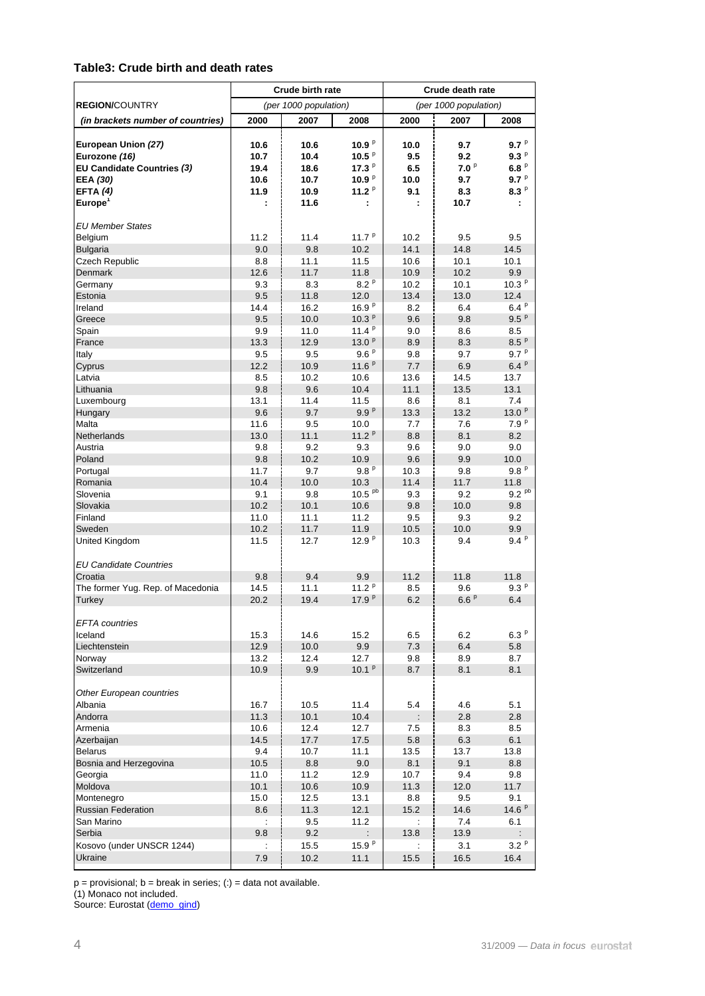#### **Table3: Crude birth and death rates**

|                                                                    | <b>Crude birth rate</b> |                       |                                  | Crude death rate   |                       |                      |  |
|--------------------------------------------------------------------|-------------------------|-----------------------|----------------------------------|--------------------|-----------------------|----------------------|--|
| <b>REGION/COUNTRY</b>                                              |                         | (per 1000 population) |                                  |                    | (per 1000 population) |                      |  |
| (in brackets number of countries)                                  | 2000                    | 2007                  | 2008                             | 2000               | 2007                  | 2008                 |  |
| European Union (27)<br>Eurozone (16)<br>EU Candidate Countries (3) | 10.6<br>10.7<br>19.4    | 10.6<br>10.4<br>18.6  | 10.9 $P$<br>10.5 $P$<br>17.3 $P$ | 10.0<br>9.5<br>6.5 | 9.7<br>9.2<br>7.0P    | 9.7P<br>9.3P<br>6.8P |  |
| EEA (30)                                                           | 10.6                    | 10.7                  | 10.9 $P$                         | 10.0               | 9.7                   | 9.7P                 |  |
| EFTA $(4)$                                                         | 11.9                    | 10.9                  | 11.2 $P$                         | 9.1                | 8.3                   | 8.3P                 |  |
| Europe <sup>1</sup>                                                |                         | 11.6                  | ÷                                |                    | 10.7                  | ÷                    |  |
| <b>EU Member States</b><br>Belgium                                 | 11.2                    | 11.4                  | 11.7 $P$                         | 10.2               | 9.5                   | 9.5                  |  |
| <b>Bulgaria</b>                                                    | 9.0                     | 9.8                   | 10.2                             | 14.1               | 14.8                  | 14.5                 |  |
| <b>Czech Republic</b>                                              | 8.8                     | 11.1                  | 11.5                             | 10.6               | 10.1                  | 10.1                 |  |
| Denmark<br>Germany                                                 | 12.6<br>9.3             | 11.7<br>8.3           | 11.8<br>8.2P                     | 10.9<br>10.2       | 10.2<br>10.1          | 9.9<br>10.3 $P$      |  |
| Estonia                                                            | 9.5                     | 11.8                  | 12.0                             | 13.4               | 13.0                  | 12.4                 |  |
| Ireland                                                            | 14.4                    | 16.2                  | 16.9P                            | 8.2                | 6.4                   | 6.4P                 |  |
| Greece                                                             | 9.5                     | 10.0                  | 10.3 <sup>p</sup>                | 9.6                | 9.8                   | 9.5 <sup>p</sup>     |  |
| Spain                                                              | 9.9                     | 11.0                  | 11.4 $P$                         | 9.0                | 8.6                   | 8.5                  |  |
| France                                                             | 13.3                    | 12.9                  | 13.0 $P$                         | 8.9                | 8.3                   | 8.5P                 |  |
| Italy                                                              | 9.5                     | 9.5                   | 9.6P                             | 9.8                | 9.7                   | 9.7P                 |  |
| Cyprus                                                             | 12.2                    | 10.9                  | 11.6 $P$                         | 7.7                | 6.9                   | 6.4P                 |  |
| Latvia<br>Lithuania                                                | 8.5<br>9.8              | 10.2<br>9.6           | 10.6<br>10.4                     | 13.6<br>11.1       | 14.5<br>13.5          | 13.7<br>13.1         |  |
| Luxembourg                                                         | 13.1                    | 11.4                  | 11.5                             | 8.6                | 8.1                   | 7.4                  |  |
| Hungary                                                            | 9.6                     | 9.7                   | 9.9P                             | 13.3               | 13.2                  | 13.0 $P$             |  |
| Malta                                                              | 11.6                    | 9.5                   | 10.0                             | 7.7                | 7.6                   | 7.9 <sup>p</sup>     |  |
| Netherlands                                                        | 13.0                    | 11.1                  | 11.2 <sup>p</sup>                | 8.8                | 8.1                   | 8.2                  |  |
| Austria                                                            | 9.8                     | 9.2                   | 9.3                              | 9.6                | 9.0                   | 9.0                  |  |
| Poland                                                             | 9.8                     | 10.2                  | 10.9                             | 9.6                | 9.9                   | 10.0                 |  |
| Portugal                                                           | 11.7                    | 9.7                   | 9.8P                             | 10.3               | 9.8                   | 9.8P                 |  |
| Romania<br>Slovenia                                                | 10.4<br>9.1             | 10.0                  | 10.3<br>10.5 <sup>pb</sup>       | 11.4               | 11.7                  | 11.8<br>$9.2^{pb}$   |  |
| Slovakia                                                           | 10.2                    | 9.8<br>10.1           | 10.6                             | 9.3<br>9.8         | 9.2<br>10.0           | 9.8                  |  |
| Finland                                                            | 11.0                    | 11.1                  | 11.2                             | 9.5                | 9.3                   | 9.2                  |  |
| Sweden                                                             | 10.2                    | 11.7                  | 11.9                             | 10.5               | 10.0                  | 9.9                  |  |
| <b>United Kingdom</b>                                              | 11.5                    | 12.7                  | 12.9 $P$                         | 10.3               | 9.4                   | 9.4P                 |  |
| <b>EU Candidate Countries</b>                                      |                         |                       |                                  |                    |                       |                      |  |
| Croatia                                                            | 9.8                     | 9.4                   | 9.9                              | 11.2               | 11.8                  | 11.8                 |  |
| The former Yug. Rep. of Macedonia                                  | 14.5<br>20.2            | 11.1<br>19.4          | 11.2 $P$<br>17.9 <sup>p</sup>    | 8.5<br>6.2         | 9.6<br>6.6P           | 9.3P<br>6.4          |  |
| Turkey<br><b>EFTA</b> countries                                    |                         |                       |                                  |                    |                       |                      |  |
| Iceland                                                            | 15.3                    | 14.6                  | 15.2                             | 6.5                | 6.2                   | $6.3~^{\rm p}$       |  |
| Liechtenstein                                                      | 12.9                    | 10.0                  | 9.9                              | 7.3                | 6.4                   | 5.8                  |  |
| Norway                                                             | 13.2                    | 12.4                  | 12.7                             | 9.8                | 8.9                   | 8.7                  |  |
| Switzerland                                                        | 10.9                    | 9.9                   | 10.1 $P$                         | 8.7                | 8.1                   | 8.1                  |  |
| Other European countries<br>Albania                                | 16.7                    | 10.5                  | 11.4                             | 5.4                | 4.6                   | 5.1                  |  |
| Andorra                                                            | 11.3                    | 10.1                  | 10.4                             |                    | 2.8                   | 2.8                  |  |
| Armenia                                                            | 10.6                    | 12.4                  | 12.7                             | 7.5                | 8.3                   | 8.5                  |  |
| Azerbaiian                                                         | 14.5                    | 17.7                  | 17.5                             | 5.8                | 6.3                   | 6.1                  |  |
| <b>Belarus</b>                                                     | 9.4                     | 10.7                  | 11.1                             | 13.5               | 13.7                  | 13.8                 |  |
| Bosnia and Herzegovina                                             | 10.5                    | 8.8                   | 9.0                              | 8.1                | 9.1                   | 8.8                  |  |
| Georgia                                                            | 11.0                    | 11.2                  | 12.9                             | 10.7               | 9.4                   | 9.8                  |  |
| Moldova                                                            | 10.1                    | 10.6                  | 10.9                             | 11.3               | 12.0                  | 11.7                 |  |
| Montenegro                                                         | 15.0                    | 12.5                  | 13.1                             | 8.8                | 9.5                   | 9.1                  |  |
| <b>Russian Federation</b><br>San Marino                            | 8.6                     | 11.3<br>9.5           | 12.1<br>11.2                     | 15.2               | 14.6<br>7.4           | 14.6P<br>6.1         |  |
| Serbia                                                             | 9.8                     | 9.2                   |                                  | 13.8               | 13.9                  | ÷                    |  |
| Kosovo (under UNSCR 1244)                                          |                         | 15.5                  | 15.9 $P$                         |                    | 3.1                   | 3.2P                 |  |
| Ukraine                                                            | 7.9                     | 10.2                  | 11.1                             | 15.5               | 16.5                  | 16.4                 |  |
|                                                                    |                         |                       |                                  |                    |                       |                      |  |

 $p =$  provisional;  $b =$  break in series; (:) = data not available.

(1) Monaco not included.

Source: Eurostat ([demo\\_gind](http://nui.epp.eurostat.ec.europa.eu/nui/show.do?dataset=demo_gind&lang=en))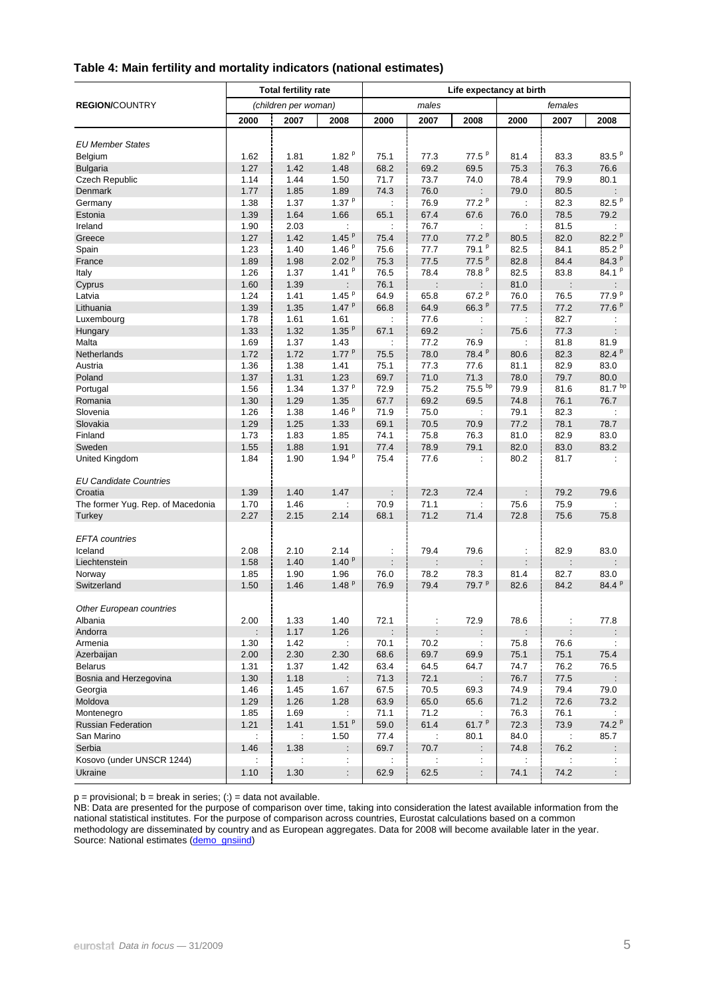|                                   |                      | <b>Total fertility rate</b> |                   |                      |                      |                      | Life expectancy at birth |                      |                      |  |
|-----------------------------------|----------------------|-----------------------------|-------------------|----------------------|----------------------|----------------------|--------------------------|----------------------|----------------------|--|
| <b>REGION/COUNTRY</b>             |                      | (children per woman)        |                   |                      | males                |                      |                          | females              |                      |  |
|                                   | 2000                 | 2007                        | 2008              | 2000                 | 2007                 | 2008                 | 2000                     | 2007                 | 2008                 |  |
| <b>EU Member States</b>           |                      |                             |                   |                      |                      |                      |                          |                      |                      |  |
| Belgium                           | 1.62                 | 1.81                        | 1.82 $P$          | 75.1                 | 77.3                 | $77.5^{p}$           | 81.4                     | 83.3                 | 83.5 $P$             |  |
| <b>Bulgaria</b>                   | 1.27                 | 1.42                        | 1.48              | 68.2                 | 69.2                 | 69.5                 | 75.3                     | 76.3                 | 76.6                 |  |
| <b>Czech Republic</b>             | 1.14                 | 1.44                        | 1.50              | 71.7                 | 73.7                 | 74.0                 | 78.4                     | 79.9                 | 80.1                 |  |
| Denmark                           | 1.77                 | 1.85                        | 1.89              | 74.3                 | 76.0                 | ÷                    | 79.0                     | 80.5                 | ÷                    |  |
| Germany                           | 1.38                 | 1.37                        | 1.37 $P$          | ÷                    | 76.9                 | 77.2 <sup>p</sup>    | ÷                        | 82.3                 | 82.5 <sup>P</sup>    |  |
| Estonia                           | 1.39                 | 1.64                        | 1.66              | 65.1                 | 67.4                 | 67.6                 | 76.0                     | 78.5                 | 79.2                 |  |
| Ireland                           | 1.90                 | 2.03                        | ÷                 | ÷                    | 76.7                 | ÷                    | $\ddot{\phantom{a}}$     | 81.5                 | ÷                    |  |
| Greece                            | 1.27                 | 1.42                        | 1.45 $P$          | 75.4                 | 77.0                 | 77.2 <sup>p</sup>    | 80.5                     | 82.0                 | 82.2 P               |  |
| Spain                             | 1.23                 | 1.40                        | 1.46 $P$          | 75.6                 | 77.7                 | 79.1 <sup>p</sup>    | 82.5                     | 84.1                 | 85.2 P               |  |
| France                            | 1.89                 | 1.98                        | 2.02 <sup>p</sup> | 75.3                 | 77.5                 | $77.5^{p}$           | 82.8                     | 84.4                 | 84.3 <sup>P</sup>    |  |
| Italy                             | 1.26                 | 1.37                        | $1.41^{p}$        | 76.5                 | 78.4                 | 78.8 <sup>P</sup>    | 82.5                     | 83.8                 | $84.1^{p}$           |  |
|                                   | 1.60                 | 1.39                        | ÷.                | 76.1                 | ÷                    | ÷                    | 81.0                     | ÷                    | ÷.                   |  |
| Cyprus<br>Latvia                  | 1.24                 | 1.41                        | $1.45^{p}$        | 64.9                 |                      | 67.2 $P$             | 76.0                     |                      | 77.9 <sup>P</sup>    |  |
|                                   | 1.39                 | 1.35                        | 1.47 <sup>p</sup> | 66.8                 | 65.8<br>64.9         | 66.3 P               | 77.5                     | 76.5<br>77.2         | 77.6 P               |  |
| Lithuania                         |                      |                             |                   |                      |                      |                      |                          |                      |                      |  |
| Luxembourg                        | 1.78                 | 1.61                        | 1.61<br>1.35 $P$  | ÷                    | 77.6                 | ÷                    | ÷                        | 82.7                 | ÷                    |  |
| Hungary                           | 1.33                 | 1.32                        |                   | 67.1                 | 69.2                 | $\ddot{\phantom{a}}$ | 75.6                     | 77.3                 |                      |  |
| Malta                             | 1.69                 | 1.37                        | 1.43              | $\ddot{\phantom{a}}$ | 77.2                 | 76.9                 | $\mathbb{Z}^2$           | 81.8                 | 81.9                 |  |
| <b>Netherlands</b>                | 1.72                 | 1.72                        | $1.77^{p}$        | 75.5                 | 78.0                 | 78.4 <sup>P</sup>    | 80.6                     | 82.3                 | 82.4 <sup>P</sup>    |  |
| Austria                           | 1.36                 | 1.38                        | 1.41              | 75.1                 | 77.3                 | 77.6                 | 81.1                     | 82.9                 | 83.0                 |  |
| Poland                            | 1.37                 | 1.31                        | 1.23              | 69.7                 | 71.0                 | 71.3                 | 78.0                     | 79.7                 | 80.0                 |  |
| Portugal                          | 1.56                 | 1.34                        | $1.37^{p}$        | 72.9                 | 75.2                 | 75.5 bp              | 79.9                     | 81.6                 | $81.7^{bp}$          |  |
| Romania                           | 1.30                 | 1.29                        | 1.35              | 67.7                 | 69.2                 | 69.5                 | 74.8                     | 76.1                 | 76.7                 |  |
| Slovenia                          | 1.26                 | 1.38                        | 1.46 $P$          | 71.9                 | 75.0                 | ÷                    | 79.1                     | 82.3                 | $\ddot{\phantom{a}}$ |  |
| Slovakia                          | 1.29                 | 1.25                        | 1.33              | 69.1                 | 70.5                 | 70.9                 | 77.2                     | 78.1                 | 78.7                 |  |
| Finland                           | 1.73                 | 1.83                        | 1.85              | 74.1                 | 75.8                 | 76.3                 | 81.0                     | 82.9                 | 83.0                 |  |
| Sweden                            | 1.55                 | 1.88                        | 1.91              | 77.4                 | 78.9                 | 79.1                 | 82.0                     | 83.0                 | 83.2                 |  |
| United Kingdom                    | 1.84                 | 1.90                        | 1.94 $P$          | 75.4                 | 77.6                 | ÷                    | 80.2                     | 81.7                 | ÷                    |  |
| <b>EU Candidate Countries</b>     |                      |                             |                   |                      |                      |                      |                          |                      |                      |  |
| Croatia                           | 1.39                 | 1.40                        | 1.47              | ÷                    | 72.3                 | 72.4                 | ÷                        | 79.2                 | 79.6                 |  |
| The former Yug. Rep. of Macedonia | 1.70                 | 1.46                        | t                 | 70.9                 | 71.1                 | ÷                    | 75.6                     | 75.9                 | ÷                    |  |
| Turkey                            | 2.27                 | 2.15                        | 2.14              | 68.1                 | 71.2                 | 71.4                 | 72.8                     | 75.6                 | 75.8                 |  |
| <b>EFTA</b> countries             |                      |                             |                   |                      |                      |                      |                          |                      |                      |  |
| Iceland                           | 2.08                 | 2.10                        | 2.14              | $\ddot{\phantom{a}}$ | 79.4                 | 79.6                 | ÷                        | 82.9                 | 83.0                 |  |
| Liechtenstein                     | 1.58                 | 1.40                        | 1.40 <sup>p</sup> | ÷                    |                      |                      | ÷                        | $\vdots$             |                      |  |
| Norway                            | 1.85                 | 1.90                        | 1.96              | 76.0                 | 78.2                 | 78.3                 | 81.4                     | 82.7                 | 83.0                 |  |
| Switzerland                       | 1.50                 | 1.46                        | 1.48P             | 76.9                 | 79.4                 | 79.7 <sup>p</sup>    | 82.6                     | 84.2                 | 84.4 <sup>p</sup>    |  |
|                                   |                      |                             |                   |                      |                      |                      |                          |                      |                      |  |
| Other European countries          |                      |                             |                   |                      |                      |                      |                          |                      |                      |  |
| Albania                           | 2.00                 | 1.33                        | 1.40              | 72.1                 |                      | 72.9                 | 78.6                     |                      | 77.8                 |  |
| Andorra                           |                      | 1.17                        | 1.26              | $\ddot{\cdot}$       | $\ddot{\phantom{a}}$ | $\ddot{\phantom{a}}$ | ÷                        | $\ddot{\phantom{a}}$ |                      |  |
| Armenia                           | 1.30                 | 1.42                        | ÷                 | 70.1                 | 70.2                 | ÷                    | 75.8                     | 76.6                 | ÷                    |  |
| Azerbaijan                        | 2.00                 | 2.30                        | 2.30              | 68.6                 | 69.7                 | 69.9                 | 75.1                     | 75.1                 | 75.4                 |  |
| <b>Belarus</b>                    | 1.31                 | 1.37                        | 1.42              | 63.4                 | 64.5                 | 64.7                 | 74.7                     | 76.2                 | 76.5                 |  |
| Bosnia and Herzegovina            | 1.30                 | 1.18                        |                   | 71.3                 | 72.1                 |                      | 76.7                     | 77.5                 |                      |  |
| Georgia                           | 1.46                 | 1.45                        | 1.67              | 67.5                 | 70.5                 | 69.3                 | 74.9                     | 79.4                 | 79.0                 |  |
| Moldova                           | 1.29                 | 1.26                        | 1.28              | 63.9                 | 65.0                 | 65.6                 | 71.2                     | 72.6                 | 73.2                 |  |
| Montenegro                        | 1.85                 | 1.69                        | ÷                 | 71.1                 | 71.2                 |                      | 76.3                     | 76.1                 | ÷                    |  |
| <b>Russian Federation</b>         | 1.21                 | 1.41                        | $1.51^{p}$        | 59.0                 | 61.4                 | 61.7 $P$             | 72.3                     | 73.9                 | 74.2 <sup>p</sup>    |  |
| San Marino                        | $\ddot{\phantom{a}}$ | ÷                           | 1.50              | 77.4                 | ÷                    | 80.1                 | 84.0                     | $\ddot{\phantom{a}}$ | 85.7                 |  |
| Serbia                            | 1.46                 | 1.38                        | ÷                 | 69.7                 | 70.7                 | ÷                    | 74.8                     | 76.2                 | ÷.                   |  |
| Kosovo (under UNSCR 1244)         | $\ddot{\phantom{a}}$ | ÷                           | ÷                 | ÷                    | $\ddot{\phantom{a}}$ | ÷                    | ÷                        | ÷                    | ÷                    |  |
| Ukraine                           | 1.10                 | 1.30                        | ÷.                | 62.9                 | 62.5                 | ÷.                   | 74.1                     | 74.2                 | ÷.                   |  |
|                                   |                      |                             |                   |                      |                      |                      |                          |                      |                      |  |

#### **Table 4: Main fertility and mortality indicators (national estimates)**

p = provisional; b = break in series; (:) = data not available.

NB: Data are presented for the purpose of comparison over time, taking into consideration the latest available information from the national statistical institutes. For the purpose of comparison across countries, Eurostat calculations based on a common methodology are disseminated by country and as European aggregates. Data for 2008 will become available later in the year. Source: National estimates ([demo\\_gnsiind\)](http://nui.epp.eurostat.ec.europa.eu/nui/show.do?dataset=demo_gnsiind&lang=en)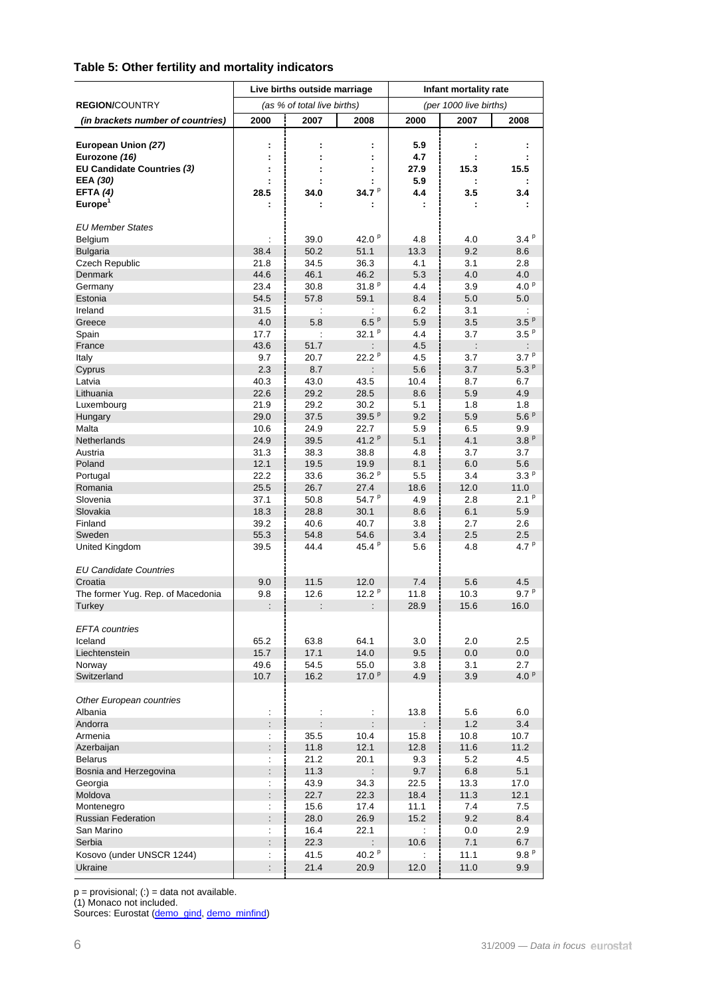### **Table 5: Other fertility and mortality indicators**

|                                             |                      | Live births outside marriage |                           | Infant mortality rate  |              |                         |  |  |
|---------------------------------------------|----------------------|------------------------------|---------------------------|------------------------|--------------|-------------------------|--|--|
| <b>REGION/COUNTRY</b>                       |                      | (as % of total live births)  |                           | (per 1000 live births) |              |                         |  |  |
| (in brackets number of countries)           | 2000                 | 2007                         | 2008                      | 2000                   | 2007         | 2008                    |  |  |
|                                             |                      |                              |                           |                        |              |                         |  |  |
| European Union (27)                         | ÷                    |                              | ÷                         | 5.9                    | ÷            |                         |  |  |
| Eurozone (16)<br>EU Candidate Countries (3) |                      |                              |                           | 4.7<br>27.9            | 15.3         | 15.5                    |  |  |
| EEA (30)                                    |                      |                              |                           | 5.9                    |              |                         |  |  |
| EFTA $(4)$                                  | 28.5                 | 34.0                         | 34.7 <sup>P</sup>         | 4.4                    | 3.5          | 3.4                     |  |  |
| Europe <sup>1</sup>                         |                      |                              |                           |                        |              |                         |  |  |
|                                             |                      |                              |                           |                        |              |                         |  |  |
| <b>EU Member States</b>                     |                      |                              |                           |                        |              |                         |  |  |
| Belgium                                     |                      | 39.0                         | 42.0 $P$                  | 4.8                    | 4.0          | 3.4P                    |  |  |
| <b>Bulgaria</b>                             | 38.4                 | 50.2                         | 51.1                      | 13.3                   | 9.2          | 8.6                     |  |  |
| Czech Republic<br>Denmark                   | 21.8<br>44.6         | 34.5<br>46.1                 | 36.3<br>46.2              | 4.1<br>5.3             | 3.1<br>4.0   | 2.8<br>4.0              |  |  |
| Germany                                     | 23.4                 | 30.8                         | 31.8P                     | 4.4                    | 3.9          | 4.0 $P$                 |  |  |
| Estonia                                     | 54.5                 | 57.8                         | 59.1                      | 8.4                    | 5.0          | 5.0                     |  |  |
| Ireland                                     | 31.5                 | $\ddot{\phantom{a}}$         |                           | 6.2                    | 3.1          | ÷                       |  |  |
| Greece                                      | 4.0                  | 5.8                          | 6.5P                      | 5.9                    | 3.5          | 3.5 <sup>p</sup>        |  |  |
| Spain                                       | 17.7                 | ÷                            | 32.1 $P$                  | 4.4                    | 3.7          | 3.5 <sup>p</sup>        |  |  |
| France                                      | 43.6                 | 51.7                         |                           | 4.5                    |              |                         |  |  |
| Italy                                       | 9.7                  | 20.7                         | 22.2 P                    | 4.5                    | 3.7          | 3.7 <sup>p</sup>        |  |  |
| Cyprus                                      | 2.3                  | 8.7                          |                           | 5.6                    | 3.7          | 5.3P                    |  |  |
| Latvia                                      | 40.3                 | 43.0                         | 43.5                      | 10.4                   | 8.7          | 6.7                     |  |  |
| Lithuania                                   | 22.6                 | 29.2                         | 28.5                      | 8.6                    | 5.9          | 4.9                     |  |  |
| Luxembourg                                  | 21.9                 | 29.2                         | 30.2                      | 5.1                    | 1.8          | 1.8                     |  |  |
| Hungary                                     | 29.0                 | 37.5                         | 39.5 $P$                  | 9.2                    | 5.9          | 5.6P                    |  |  |
| Malta                                       | 10.6                 | 24.9                         | 22.7                      | 5.9                    | 6.5          | 9.9                     |  |  |
| Netherlands                                 | 24.9                 | 39.5                         | 41.2 $P$                  | 5.1                    | 4.1          | 3.8P                    |  |  |
| Austria                                     | 31.3                 | 38.3                         | 38.8                      | 4.8                    | 3.7          | 3.7                     |  |  |
| Poland                                      | 12.1                 | 19.5                         | 19.9                      | 8.1                    | 6.0          | 5.6                     |  |  |
| Portugal                                    | 22.2                 | 33.6                         | 36.2 $P$                  | 5.5                    | 3.4          | 3.3 <sup>p</sup>        |  |  |
| Romania                                     | 25.5                 | 26.7                         | 27.4                      | 18.6                   | 12.0         | 11.0                    |  |  |
| Slovenia                                    | 37.1<br>18.3         | 50.8<br>28.8                 | 54.7 <sup>P</sup><br>30.1 | 4.9<br>8.6             | 2.8<br>6.1   | 2.1 <sup>p</sup><br>5.9 |  |  |
| Slovakia<br>Finland                         | 39.2                 | 40.6                         | 40.7                      | 3.8                    | 2.7          | 2.6                     |  |  |
| Sweden                                      | 55.3                 | 54.8                         | 54.6                      | 3.4                    | 2.5          | 2.5                     |  |  |
| United Kingdom                              | 39.5                 | 44.4                         | 45.4 <sup>P</sup>         | 5.6                    | 4.8          | 4.7 <sup>p</sup>        |  |  |
|                                             |                      |                              |                           |                        |              |                         |  |  |
| <b>EU Candidate Countries</b>               |                      |                              |                           |                        |              |                         |  |  |
| Croatia                                     | 9.0                  | 11.5                         | 12.0                      | 7.4                    | 5.6          | 4.5                     |  |  |
| The former Yug. Rep. of Macedonia           | 9.8                  | 12.6                         | 12.2 $P$                  | 11.8                   | 10.3         | 9.7P                    |  |  |
| Turkey                                      | $\vdots$             |                              |                           | 28.9                   | 15.6         | 16.0                    |  |  |
| <b>EFTA</b> countries                       |                      |                              |                           |                        |              |                         |  |  |
| Iceland                                     | 65.2                 | 63.8                         | 64.1                      | 3.0                    | 2.0          | 2.5                     |  |  |
| Liechtenstein                               | 15.7                 | 17.1                         | 14.0                      | 9.5                    | 0.0          | 0.0                     |  |  |
| Norway                                      | 49.6                 | 54.5                         | 55.0                      | 3.8                    | 3.1          | 2.7                     |  |  |
| Switzerland                                 | 10.7                 | 16.2                         | 17.0 $P$                  | 4.9                    | 3.9          | 4.0 $P$                 |  |  |
|                                             |                      |                              |                           |                        |              |                         |  |  |
| Other European countries                    |                      |                              |                           |                        |              |                         |  |  |
| Albania                                     |                      |                              |                           | 13.8                   | 5.6          | 6.0                     |  |  |
| Andorra<br>Armenia                          | $\vdots$             |                              |                           | ÷                      | 1.2          | 3.4                     |  |  |
|                                             | $\ddot{\phantom{a}}$ | 35.5<br>11.8                 | 10.4<br>12.1              | 15.8<br>12.8           | 10.8<br>11.6 | 10.7<br>11.2            |  |  |
| Azerbaijan<br><b>Belarus</b>                | ÷                    | 21.2                         | 20.1                      | 9.3                    | 5.2          | 4.5                     |  |  |
| Bosnia and Herzegovina                      |                      | 11.3                         |                           | 9.7                    | 6.8          | 5.1                     |  |  |
| Georgia                                     | ł.                   | 43.9                         | 34.3                      | 22.5                   | 13.3         | 17.0                    |  |  |
| Moldova                                     | $\ddot{\phantom{a}}$ | 22.7                         | 22.3                      | 18.4                   | 11.3         | 12.1                    |  |  |
| Montenegro                                  |                      | 15.6                         | 17.4                      | 11.1                   | 7.4          | 7.5                     |  |  |
| <b>Russian Federation</b>                   |                      | 28.0                         | 26.9                      | 15.2                   | 9.2          | 8.4                     |  |  |
| San Marino                                  | ÷                    | 16.4                         | 22.1                      | ÷                      | 0.0          | 2.9                     |  |  |
| Serbia                                      |                      | 22.3                         |                           | 10.6                   | 7.1          | 6.7                     |  |  |
| Kosovo (under UNSCR 1244)                   | ÷                    | 41.5                         | 40.2 $P$                  |                        | 11.1         | 9.8P                    |  |  |
| Ukraine                                     | $\vdots$             | 21.4                         | 20.9                      | 12.0                   | 11.0         | 9.9                     |  |  |

p = provisional; (:) = data not available.

(1) Monaco not included.

Sources: Eurostat ([demo\\_gind](http://nui.epp.eurostat.ec.europa.eu/nui/show.do?dataset=demo_gind&lang=en), [demo\\_minfind](http://nui.epp.eurostat.ec.europa.eu/nui/show.do?dataset=demo_minfind&lang=en))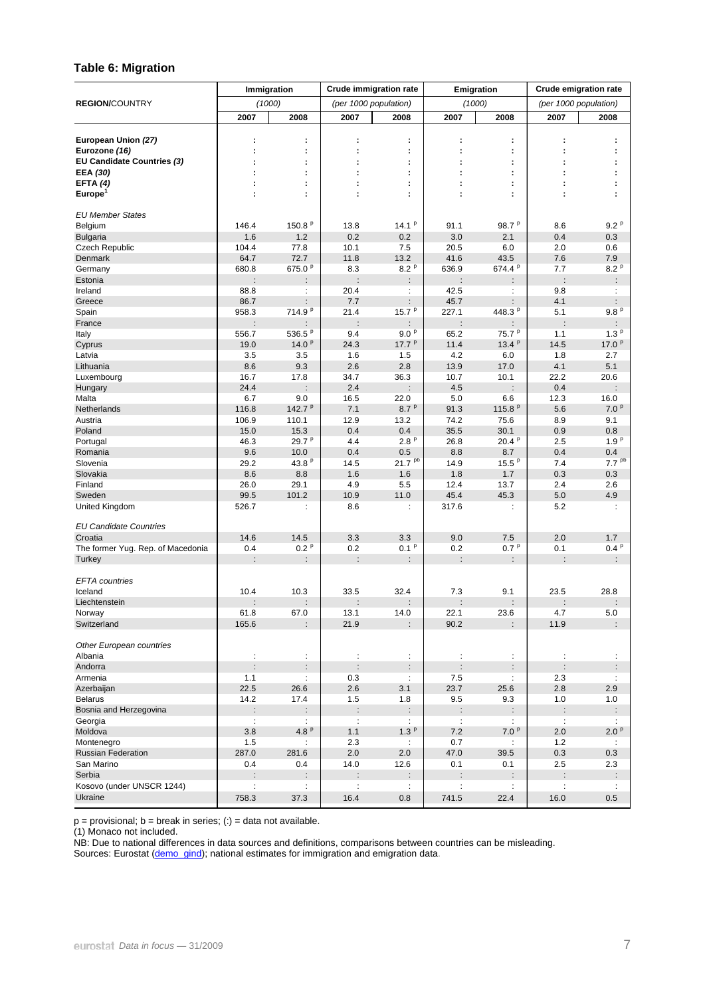#### **Table 6: Migration**

|                                             | Immigration<br><b>Crude immigration rate</b> |                      |                      | Emigration                  |                      | <b>Crude emigration rate</b> |                      |                       |
|---------------------------------------------|----------------------------------------------|----------------------|----------------------|-----------------------------|----------------------|------------------------------|----------------------|-----------------------|
| <b>REGION/COUNTRY</b>                       |                                              | (1000)               |                      | (per 1000 population)       |                      | (1000)                       |                      | (per 1000 population) |
|                                             | 2007                                         | 2008                 | 2007                 | 2008                        | 2007                 | 2008                         | 2007                 | 2008                  |
|                                             |                                              |                      |                      |                             |                      |                              |                      |                       |
| European Union (27)                         | ÷                                            | ÷                    | t                    | ÷                           | ÷                    | ÷                            | ÷                    | ÷                     |
| Eurozone (16)                               |                                              | ÷                    |                      | ÷                           |                      | ÷                            |                      |                       |
| EU Candidate Countries (3)<br>EEA (30)      |                                              | ÷<br>÷               |                      | ÷<br>÷                      |                      | ÷<br>÷                       |                      |                       |
| EFTA $(4)$                                  |                                              | ÷                    |                      | ÷                           |                      | ÷                            |                      |                       |
| Europe <sup>1</sup>                         |                                              | ÷                    |                      | t                           |                      | ÷                            |                      |                       |
|                                             |                                              |                      |                      |                             |                      |                              |                      |                       |
| <b>EU Member States</b>                     |                                              |                      |                      |                             |                      |                              |                      |                       |
| Belgium                                     | 146.4                                        | 150.8 $P$            | 13.8                 | 14.1 $P$                    | 91.1                 | 98.7 $P$                     | 8.6                  | 9.2 <sup>p</sup>      |
| <b>Bulgaria</b>                             | 1.6                                          | 1.2                  | 0.2                  | 0.2                         | 3.0                  | 2.1                          | 0.4                  | 0.3                   |
| <b>Czech Republic</b>                       | 104.4                                        | 77.8                 | 10.1                 | 7.5                         | 20.5                 | 6.0                          | 2.0                  | 0.6                   |
| Denmark                                     | 64.7                                         | 72.7                 | 11.8                 | 13.2                        | 41.6                 | 43.5                         | 7.6                  | 7.9                   |
| Germany                                     | 680.8                                        | 675.0 <sup>p</sup>   | 8.3                  | 8.2P                        | 636.9                | 674.4 <sup>p</sup>           | 7.7                  | 8.2P                  |
| Estonia                                     | $\ddot{\phantom{a}}$                         | ÷                    | ÷                    | ÷                           | $\ddot{\phantom{a}}$ | ÷                            | $\ddot{\phantom{a}}$ | ÷.                    |
| Ireland                                     | 88.8                                         | ÷                    | 20.4                 | ÷                           | 42.5                 | ÷                            | 9.8                  | ÷                     |
| Greece                                      | 86.7                                         |                      | 7.7                  | ÷                           | 45.7                 | $\ddot{\phantom{a}}$         | 4.1                  | ÷                     |
| Spain                                       | 958.3                                        | 714.9 <sup>p</sup>   | 21.4                 | 15.7 $P$                    | 227.1                | 448.3 <sup>P</sup>           | 5.1                  | 9.8P                  |
| France                                      | $\ddot{\phantom{a}}$                         |                      | $\ddot{\phantom{a}}$ | ÷                           | $\ddot{\phantom{a}}$ |                              | ÷                    | ÷.                    |
| Italy                                       | 556.7                                        | 536.5 <sup>p</sup>   | 9.4                  | 9.0P                        | 65.2                 | 75.7 <sup>p</sup>            | 1.1                  | 1.3 <sup>p</sup>      |
| Cyprus                                      | 19.0                                         | 14.0 $P$             | 24.3                 | 17.7 $P$                    | 11.4                 | 13.4 <sup>p</sup>            | 14.5                 | 17.0 <sup>p</sup>     |
| Latvia                                      | 3.5                                          | 3.5                  | 1.6                  | 1.5                         | 4.2                  | 6.0                          | 1.8                  | 2.7                   |
| Lithuania                                   | 8.6<br>16.7                                  | 9.3                  | 2.6                  | 2.8                         | 13.9                 | 17.0                         | 4.1                  | 5.1                   |
| Luxembourg<br>Hungary                       | 24.4                                         | 17.8                 | 34.7<br>2.4          | 36.3                        | 10.7<br>4.5          | 10.1                         | 22.2<br>0.4          | 20.6                  |
| Malta                                       | 6.7                                          | 9.0                  | 16.5                 | 22.0                        | 5.0                  | 6.6                          | 12.3                 | 16.0                  |
| Netherlands                                 | 116.8                                        | 142.7 $P$            | 7.1                  | 8.7P                        | 91.3                 | 115.8 <sup>P</sup>           | 5.6                  | 7.0 <sup>p</sup>      |
| Austria                                     | 106.9                                        | 110.1                | 12.9                 | 13.2                        | 74.2                 | 75.6                         | 8.9                  | 9.1                   |
| Poland                                      | 15.0                                         | 15.3                 | 0.4                  | 0.4                         | 35.5                 | 30.1                         | 0.9                  | 0.8                   |
| Portugal                                    | 46.3                                         | 29.7 <sup>P</sup>    | 4.4                  | 2.8P                        | 26.8                 | 20.4P                        | 2.5                  | 1.9 <sup>p</sup>      |
| Romania                                     | 9.6                                          | 10.0                 | 0.4                  | 0.5                         | 8.8                  | 8.7                          | 0.4                  | 0.4                   |
| Slovenia                                    | 29.2                                         | 43.8 P               | 14.5                 | $21.7^{pb}$                 | 14.9                 | $15.5^{p}$                   | 7.4                  | 7.7 <sup>pb</sup>     |
| Slovakia                                    | 8.6                                          | 8.8                  | 1.6                  | 1.6                         | 1.8                  | 1.7                          | 0.3                  | 0.3                   |
| Finland                                     | 26.0                                         | 29.1                 | 4.9                  | 5.5                         | 12.4                 | 13.7                         | 2.4                  | 2.6                   |
| Sweden                                      | 99.5                                         | 101.2                | 10.9                 | 11.0                        | 45.4                 | 45.3                         | 5.0                  | 4.9                   |
| United Kingdom                              | 526.7                                        | ÷                    | 8.6                  | ÷                           | 317.6                | ÷                            | 5.2                  | ÷                     |
|                                             |                                              |                      |                      |                             |                      |                              |                      |                       |
| <b>EU Candidate Countries</b>               |                                              |                      |                      |                             |                      |                              |                      |                       |
| Croatia                                     | 14.6                                         | 14.5                 | 3.3                  | 3.3                         | 9.0                  | 7.5                          | 2.0                  | 1.7                   |
| The former Yug. Rep. of Macedonia<br>Turkey | 0.4                                          | 0.2 <sup>p</sup>     | 0.2<br>$\vdots$      | 0.1 <sup>p</sup>            | 0.2                  | 0.7P                         | 0.1                  | 0.4P                  |
|                                             | ÷                                            | $\ddot{\phantom{a}}$ |                      | $\ddot{\cdot}$              | $\ddot{\phantom{a}}$ | $\ddot{\cdot}$               |                      | $\ddot{\phantom{a}}$  |
| <b>EFTA</b> countries                       |                                              |                      |                      |                             |                      |                              |                      |                       |
| Iceland                                     | 10.4                                         | 10.3                 | 33.5                 | 32.4                        | 7.3                  | 9.1                          | 23.5                 | 28.8                  |
| Liechtenstein                               |                                              | $\ddot{\phantom{a}}$ | $\vdots$             | ÷                           | $\ddot{\phantom{a}}$ | ÷.                           | $\ddot{\phantom{a}}$ | ÷.                    |
| Norway                                      | 61.8                                         | 67.0                 | 13.1                 | 14.0                        | 22.1                 | 23.6                         | 4.7                  | 5.0                   |
| Switzerland                                 | 165.6                                        | $\cdot$              | 21.9                 | $\ddot{\phantom{0}}$        | 90.2                 | ÷                            | 11.9                 | t.                    |
|                                             |                                              |                      |                      |                             |                      |                              |                      |                       |
| Other European countries                    |                                              |                      |                      |                             |                      |                              |                      |                       |
| Albania                                     | $\ddot{\cdot}$                               | ÷                    | $\ddot{\phantom{a}}$ | ÷                           | ÷                    | ÷                            |                      | ÷.                    |
| Andorra                                     | $\ddot{\phantom{a}}$                         | ÷                    | $\vdots$             | $\ddot{\phantom{a}}$        | $\ddot{\phantom{a}}$ | $\ddot{\phantom{a}}$         | $\ddot{\phantom{a}}$ | $\ddot{\phantom{a}}$  |
| Armenia                                     | 1.1                                          | ÷                    | 0.3                  | ÷                           | 7.5                  | ÷.                           | 2.3                  | $\ddot{\phantom{a}}$  |
| Azerbaijan                                  | 22.5                                         | 26.6                 | 2.6                  | 3.1                         | 23.7                 | 25.6                         | 2.8                  | 2.9                   |
| <b>Belarus</b>                              | 14.2                                         | 17.4                 | 1.5                  | 1.8                         | 9.5                  | 9.3                          | 1.0                  | 1.0                   |
| Bosnia and Herzegovina                      | :                                            | $\ddot{\phantom{a}}$ | $\ddot{\phantom{a}}$ | ÷.                          | $\ddot{\cdot}$       | $\ddot{\phantom{a}}$         | $\ddot{\cdot}$       | $\ddot{\phantom{0}}$  |
| Georgia                                     | $\ddot{\phantom{a}}$                         | $\ddot{\phantom{a}}$ | $\ddot{\phantom{a}}$ | $\ddot{\phantom{a}}$        | ÷                    | ÷                            | $\sim$ 1.            | $\mathbb{C}^{\times}$ |
| Moldova                                     | 3.8                                          | 4.8 $P$              | 1.1                  | 1.3 <sup>p</sup>            | 7.2                  | 7.0P                         | 2.0                  | 2.0P                  |
| Montenegro<br><b>Russian Federation</b>     | 1.5<br>287.0                                 | ÷<br>281.6           | 2.3<br>2.0           | $\ddot{\phantom{a}}$<br>2.0 | 0.7<br>47.0          | ÷.<br>39.5                   | 1.2<br>0.3           | $\mathbb{Z}^n$<br>0.3 |
| San Marino                                  | 0.4                                          | 0.4                  | 14.0                 | 12.6                        | 0.1                  | 0.1                          | 2.5                  | 2.3                   |
| Serbia                                      | $\vdots$                                     | $\ddot{\phantom{a}}$ | $\ddot{\cdot}$       | $\ddot{\phantom{a}}$        | $\ddot{\phantom{a}}$ | $\ddot{\cdot}$               | $\ddot{\phantom{a}}$ | $\ddot{\phantom{a}}$  |
| Kosovo (under UNSCR 1244)                   | $\ddot{\phantom{a}}$                         | ÷                    | ÷                    | $\ddot{\phantom{a}}$        | ÷                    | ÷                            | ÷                    | $\mathbb{C}^{\times}$ |
| Ukraine                                     | 758.3                                        | 37.3                 | 16.4                 | 0.8                         | 741.5                | 22.4                         | 16.0                 | 0.5                   |
|                                             |                                              |                      |                      |                             |                      |                              |                      |                       |

 $p =$  provisional;  $b =$  break in series; (:) = data not available.

(1) Monaco not included.

NB: Due to national differences in data sources and definitions, comparisons between countries can be misleading.

Sources: Eurostat ([demo\\_gind](http://nui.epp.eurostat.ec.europa.eu/nui/show.do?dataset=demo_gind&lang=en)); national estimates for immigration and emigration data.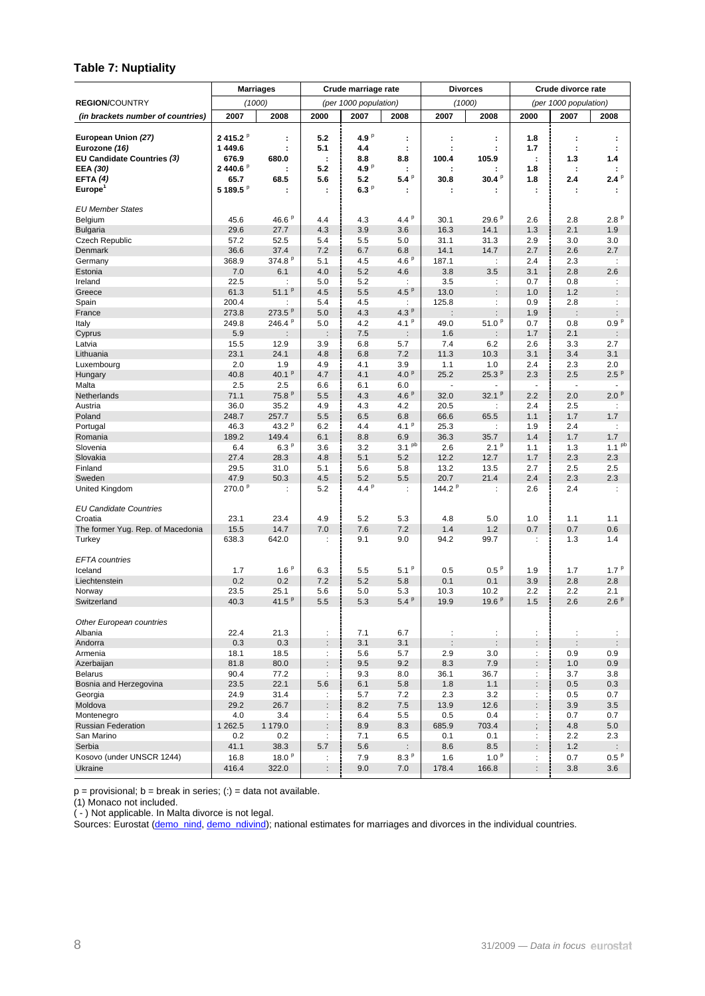#### **Table 7: Nuptiality**

|                                             |                                | <b>Marriages</b>     |                           | Crude marriage rate   |                              |                                              | <b>Divorces</b>           |                             | Crude divorce rate              |                                              |
|---------------------------------------------|--------------------------------|----------------------|---------------------------|-----------------------|------------------------------|----------------------------------------------|---------------------------|-----------------------------|---------------------------------|----------------------------------------------|
| <b>REGION/COUNTRY</b>                       |                                | (1000)               |                           | (per 1000 population) |                              |                                              | (1000)                    |                             | (per 1000 population)           |                                              |
| (in brackets number of countries)           | 2007                           | 2008                 | 2000                      | 2007                  | 2008                         | 2007                                         | 2008                      | 2000                        | 2007                            | 2008                                         |
|                                             |                                |                      |                           |                       |                              |                                              |                           |                             |                                 |                                              |
| European Union (27)                         | 2415.2 <sup>P</sup><br>1 449.6 | ÷                    | 5.2<br>5.1                | 4.9 $P$               | ÷                            | ÷                                            | ÷                         | 1.8                         | ÷                               | ÷                                            |
| Eurozone (16)<br>EU Candidate Countries (3) | 676.9                          | ÷<br>680.0           | ÷                         | 4.4<br>8.8            | $\ddot{\cdot}$<br>8.8        | 100.4                                        | ÷<br>105.9                | 1.7<br>$\ddot{\phantom{a}}$ | ÷<br>1.3                        | ÷<br>1.4                                     |
| EEA (30)                                    | 2440.6 <sup>P</sup>            |                      | 5.2                       | 4.9 $P$               | ÷                            |                                              |                           | 1.8                         | ÷                               | ÷                                            |
| EFTA $(4)$                                  | 65.7                           | 68.5                 | 5.6                       | 5.2                   | 5.4P                         | 30.8                                         | 30.4P                     | 1.8                         | 2.4                             | 2.4P                                         |
| <b>Europe</b>                               | 5 189.5 <sup>P</sup>           |                      | ÷                         | 6.3P                  | ÷                            |                                              |                           | ÷                           |                                 |                                              |
|                                             |                                |                      |                           |                       |                              |                                              |                           |                             |                                 |                                              |
| <b>EU Member States</b>                     | 45.6                           | 46.6 P               | 4.4                       | 4.3                   | 4.4 $P$                      | 30.1                                         | 29.6P                     | 2.6                         | 2.8                             | 2.8P                                         |
| Belgium<br><b>Bulgaria</b>                  | 29.6                           | 27.7                 | 4.3                       | 3.9                   | 3.6                          | 16.3                                         | 14.1                      | 1.3                         | 2.1                             | 1.9                                          |
| Czech Republic                              | 57.2                           | 52.5                 | 5.4                       | 5.5                   | 5.0                          | 31.1                                         | 31.3                      | 2.9                         | 3.0                             | 3.0                                          |
| <b>Denmark</b>                              | 36.6                           | 37.4                 | 7.2                       | 6.7                   | 6.8                          | 14.1                                         | 14.7                      | 2.7                         | 2.6                             | 2.7                                          |
| Germany                                     | 368.9                          | 374.8 <sup>P</sup>   | 5.1                       | 4.5                   | 4.6P                         | 187.1                                        | $\ddot{\phantom{a}}$      | 2.4                         | 2.3                             | $\ddot{\phantom{a}}$                         |
| Estonia                                     | 7.0                            | 6.1                  | 4.0                       | 5.2                   | 4.6                          | 3.8                                          | 3.5                       | 3.1                         | 2.8                             | 2.6                                          |
| Ireland                                     | 22.5                           | ÷                    | 5.0                       | 5.2                   | $\ddot{\phantom{a}}$         | 3.5                                          | $\ddot{\phantom{a}}$      | 0.7                         | 0.8                             | ÷                                            |
| Greece                                      | 61.3                           | 51.1 $P$             | 4.5                       | 5.5                   | 4.5P                         | 13.0                                         | $\ddot{\phantom{a}}$      | 1.0                         | 1.2                             | $\ddot{\phantom{a}}$                         |
| Spain<br>France                             | 200.4<br>273.8                 | ÷<br>273.5 $P$       | 5.4<br>5.0                | 4.5<br>4.3            | $\ddot{\phantom{a}}$<br>4.3P | 125.8<br>÷                                   | ÷<br>$\ddot{\phantom{a}}$ | 0.9<br>1.9                  | 2.8<br>$\vdots$                 | ÷<br>$\ddot{\phantom{a}}$                    |
| Italy                                       | 249.8                          | 246.4 <sup>P</sup>   | 5.0                       | 4.2                   | 4.1 <sup>p</sup>             | 49.0                                         | 51.0 P                    | 0.7                         | 0.8                             | 0.9P                                         |
| Cyprus                                      | 5.9                            | $\ddot{\phantom{a}}$ | $\ddot{\phantom{a}}$      | 7.5                   | $\ddot{\phantom{a}}$         | 1.6                                          | $\ddot{\phantom{a}}$      | 1.7                         | 2.1                             | $\ddot{\phantom{a}}$                         |
| Latvia                                      | 15.5                           | 12.9                 | 3.9                       | 6.8                   | 5.7                          | 7.4                                          | 6.2                       | 2.6                         | 3.3                             | 2.7                                          |
| Lithuania                                   | 23.1                           | 24.1                 | 4.8                       | 6.8                   | 7.2                          | 11.3                                         | 10.3                      | 3.1                         | 3.4                             | 3.1                                          |
| Luxembourg                                  | 2.0                            | 1.9                  | 4.9                       | 4.1                   | 3.9                          | 1.1                                          | 1.0                       | 2.4                         | 2.3                             | 2.0                                          |
| Hungary                                     | 40.8                           | 40.1 $P$             | 4.7                       | 4.1                   | 4.0 <sup>p</sup>             | 25.2<br>$\sim$                               | 25.3P                     | 2.3                         | 2.5                             | 2.5P                                         |
| Malta<br><b>Netherlands</b>                 | 2.5<br>71.1                    | 2.5<br>75.8P         | 6.6<br>5.5                | 6.1<br>4.3            | 6.0<br>4.6 $P$               | 32.0                                         | 32.1 $P$                  | 2.2                         | $\overline{\phantom{a}}$<br>2.0 | 2.0P                                         |
| Austria                                     | 36.0                           | 35.2                 | 4.9                       | 4.3                   | 4.2                          | 20.5                                         | ÷                         | 2.4                         | 2.5                             | ÷                                            |
| Poland                                      | 248.7                          | 257.7                | 5.5                       | 6.5                   | 6.8                          | 66.6                                         | 65.5                      | 1.1                         | 1.7                             | 1.7                                          |
| Portugal                                    | 46.3                           | 43.2 $P$             | 6.2                       | 4.4                   | 4.1 <sup>p</sup>             | 25.3                                         | ÷                         | 1.9                         | 2.4                             | ÷                                            |
| Romania                                     | 189.2                          | 149.4                | 6.1                       | 8.8                   | 6.9                          | 36.3                                         | 35.7                      | 1.4                         | 1.7                             | 1.7                                          |
| Slovenia                                    | 6.4                            | 6.3P                 | 3.6                       | 3.2                   | 3.1 <sup>pb</sup>            | 2.6                                          | 2.1 <sup>p</sup>          | 1.1                         | 1.3                             | 1.1 <sup>pb</sup>                            |
| Slovakia                                    | 27.4                           | 28.3                 | 4.8                       | 5.1                   | 5.2                          | 12.2                                         | 12.7                      | 1.7                         | 2.3                             | 2.3                                          |
| Finland<br>Sweden                           | 29.5<br>47.9                   | 31.0<br>50.3         | 5.1<br>4.5                | 5.6<br>5.2            | 5.8                          | 13.2<br>20.7                                 | 13.5                      | 2.7<br>2.4                  | 2.5<br>2.3                      | 2.5                                          |
| United Kingdom                              | 270.0 <sup>p</sup>             | ÷                    | 5.2                       | 4.4P                  | 5.5<br>÷                     | 144.2 $P$                                    | 21.4<br>÷                 | 2.6                         | 2.4                             | 2.3<br>÷                                     |
|                                             |                                |                      |                           |                       |                              |                                              |                           |                             |                                 |                                              |
| <b>EU Candidate Countries</b>               |                                |                      |                           |                       |                              |                                              |                           |                             |                                 |                                              |
| Croatia                                     | 23.1                           | 23.4                 | 4.9                       | 5.2                   | 5.3                          | 4.8                                          | 5.0                       | 1.0                         | 1.1                             | 1.1                                          |
| The former Yug. Rep. of Macedonia           | 15.5                           | 14.7                 | 7.0                       | 7.6                   | 7.2                          | 1.4                                          | 1.2                       | 0.7                         | 0.7                             | 0.6                                          |
| Turkey                                      | 638.3                          | 642.0                | ÷                         | 9.1                   | 9.0                          | 94.2                                         | 99.7                      | $\ddot{\phantom{a}}$        | 1.3                             | 1.4                                          |
| <b>EFTA</b> countries                       |                                |                      |                           |                       |                              |                                              |                           |                             |                                 |                                              |
| Iceland                                     | 1.7                            | 1.6P                 | 6.3                       | 5.5                   | $5.1^{p}$                    | 0.5                                          | 0.5 <sup>p</sup>          | 1.9                         | 1.7                             | 1.7P                                         |
| Liechtenstein                               | 0.2                            | 0.2                  | 7.2                       | 5.2                   | 5.8                          | 0.1                                          | 0.1                       | 3.9                         | 2.8                             | 2.8                                          |
| Norway                                      | 23.5                           | 25.1                 | 5.6                       | 5.0                   | 5.3                          | 10.3                                         | 10.2                      | 2.2                         | 2.2                             | 2.1                                          |
| Switzerland                                 | 40.3                           | 41.5 $P$             | 5.5                       | 5.3                   | 5.4P                         | 19.9                                         | 19.6 $P$                  | 1.5                         | 2.6                             | 2.6P                                         |
|                                             |                                |                      |                           |                       |                              |                                              |                           |                             |                                 |                                              |
| Other European countries                    |                                |                      |                           |                       |                              |                                              |                           |                             |                                 |                                              |
| Albania<br>Andorra                          | 22.4<br>0.3                    | 21.3<br>0.3          | ÷<br>$\ddot{\phantom{a}}$ | 7.1<br>3.1            | 6.7<br>3.1                   | $\ddot{\phantom{a}}$<br>$\ddot{\phantom{a}}$ | ÷<br>$\ddot{\phantom{a}}$ | ÷<br>$\ddot{\phantom{a}}$   | $\vdots$                        | $\ddot{\phantom{a}}$<br>$\ddot{\phantom{a}}$ |
| Armenia                                     | 18.1                           | 18.5                 | ÷                         | 5.6                   | 5.7                          | 2.9                                          | 3.0                       | ÷                           | 0.9                             | 0.9                                          |
| Azerbaijan                                  | 81.8                           | 80.0                 | $\ddot{\phantom{a}}$      | 9.5                   | 9.2                          | 8.3                                          | 7.9                       | $\ddot{\phantom{a}}$        | 1.0                             | 0.9                                          |
| <b>Belarus</b>                              | 90.4                           | 77.2                 | $\ddot{\phantom{a}}$      | 9.3                   | 8.0                          | 36.1                                         | 36.7                      | ÷.                          | 3.7                             | 3.8                                          |
| Bosnia and Herzegovina                      | 23.5                           | 22.1                 | 5.6                       | 6.1                   | 5.8                          | 1.8                                          | 1.1                       | $\ddot{\phantom{a}}$        | 0.5                             | 0.3                                          |
| Georgia                                     | 24.9                           | 31.4                 | ÷                         | 5.7                   | 7.2                          | 2.3                                          | 3.2                       | ÷.                          | 0.5                             | 0.7                                          |
| Moldova                                     | 29.2                           | 26.7                 | $\ddot{\phantom{a}}$      | 8.2                   | 7.5                          | 13.9                                         | 12.6                      |                             | 3.9                             | 3.5                                          |
| Montenegro<br><b>Russian Federation</b>     | 4.0<br>1 262.5                 | 3.4<br>1 179.0       | ÷                         | 6.4<br>8.9            | 5.5<br>8.3                   | 0.5<br>685.9                                 | 0.4<br>703.4              | ÷                           | 0.7<br>4.8                      | 0.7<br>5.0                                   |
| San Marino                                  | 0.2                            | 0.2                  | ÷                         | 7.1                   | 6.5                          | 0.1                                          | 0.1                       | ÷                           | 2.2                             | 2.3                                          |
| Serbia                                      | 41.1                           | 38.3                 | 5.7                       | 5.6                   | $\ddot{\cdot}$               | 8.6                                          | 8.5                       | $\ddot{\phantom{a}}$        | 1.2                             |                                              |
| Kosovo (under UNSCR 1244)                   | 16.8                           | 18.0 $P$             | ÷                         | 7.9                   | 8.3P                         | 1.6                                          | 1.0 <sup>p</sup>          | ÷                           | 0.7                             | 0.5P                                         |
| Ukraine                                     | 416.4                          | 322.0                | $\ddot{\phantom{a}}$      | 9.0                   | 7.0                          | 178.4                                        | 166.8                     |                             | 3.8                             | 3.6                                          |
|                                             |                                |                      |                           |                       |                              |                                              |                           |                             |                                 |                                              |

 $p =$  provisional;  $b =$  break in series; (:) = data not available.

(1) Monaco not included.

( - ) Not applicable. In Malta divorce is not legal.

Sources: Eurostat ([demo\\_nind](http://nui.epp.eurostat.ec.europa.eu/nui/show.do?dataset=demo_nind&lang=en), [demo\\_ndivind\)](http://nui.epp.eurostat.ec.europa.eu/nui/show.do?dataset=demo_ndivind&lang=en); national estimates for marriages and divorces in the individual countries.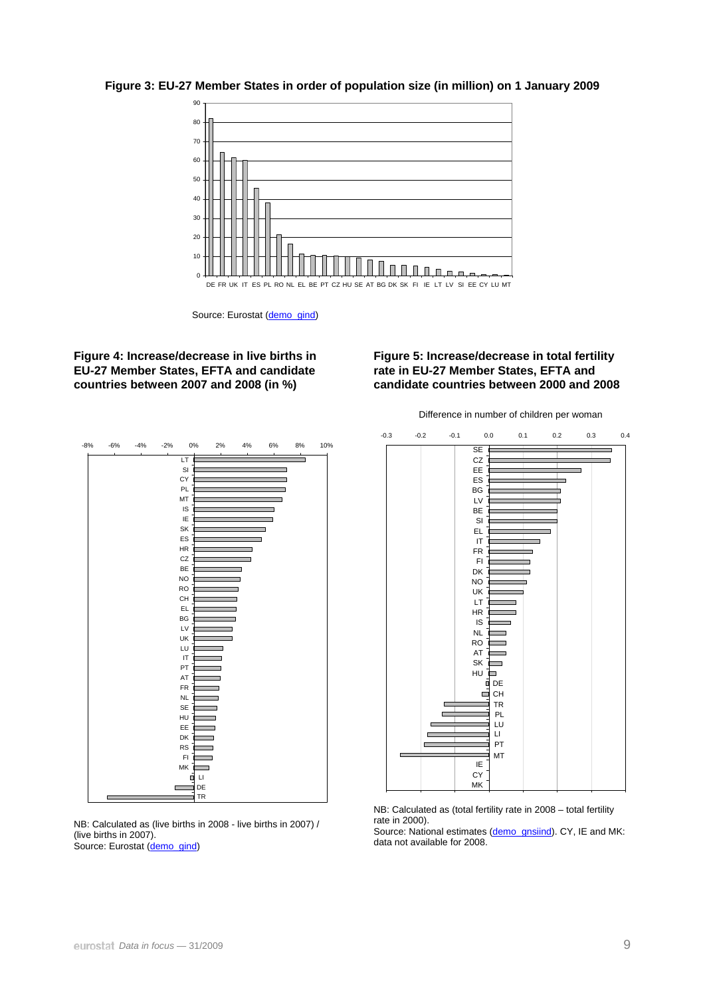

**Figure 3: EU-27 Member States in order of population size (in million) on 1 January 2009** 

Source: Eurostat ([demo\\_gind](http://nui.epp.eurostat.ec.europa.eu/nui/show.do?dataset=demo_gind&lang=en))

#### **Figure 4: Increase/decrease in live births in EU-27 Member States, EFTA and candidate countries between 2007 and 2008 (in %)**

#### **Figure 5: Increase/decrease in total fertility rate in EU-27 Member States, EFTA and candidate countries between 2000 and 2008**

Difference in number of children per woman



NB: Calculated as (live births in 2008 - live births in 2007) / (live births in 2007). Source: Eurostat ([demo\\_gind](http://nui.epp.eurostat.ec.europa.eu/nui/show.do?dataset=demo_gind&lang=en))



NB: Calculated as (total fertility rate in 2008 – total fertility rate in 2000).

Source: National estimates [\(demo\\_gnsiind](http://nui.epp.eurostat.ec.europa.eu/nui/show.do?dataset=demo_gnsiind&lang=en)). CY, IE and MK: data not available for 2008.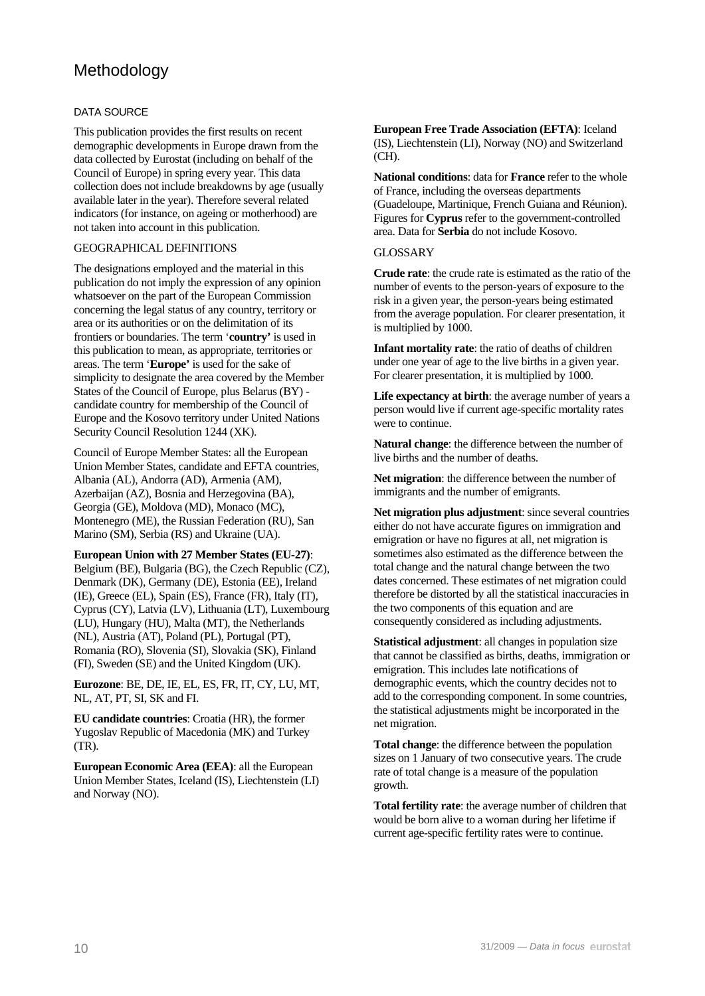# Methodology

#### DATA SOURCE

This publication provides the first results on recent demographic developments in Europe drawn from the data collected by Eurostat (including on behalf of the Council of Europe) in spring every year. This data collection does not include breakdowns by age (usually available later in the year). Therefore several related indicators (for instance, on ageing or motherhood) are not taken into account in this publication.

#### GEOGRAPHICAL DEFINITIONS

The designations employed and the material in this publication do not imply the expression of any opinion whatsoever on the part of the European Commission concerning the legal status of any country, territory or area or its authorities or on the delimitation of its frontiers or boundaries. The term '**country'** is used in this publication to mean, as appropriate, territories or areas. The term '**Europe'** is used for the sake of simplicity to designate the area covered by the Member States of the Council of Europe, plus Belarus (BY) candidate country for membership of the Council of Europe and the Kosovo territory under United Nations Security Council Resolution 1244 (XK).

Council of Europe Member States: all the European Union Member States, candidate and EFTA countries, Albania (AL), Andorra (AD), Armenia (AM), Azerbaijan (AZ), Bosnia and Herzegovina (BA), Georgia (GE), Moldova (MD), Monaco (MC), Montenegro (ME), the Russian Federation (RU), San Marino (SM), Serbia (RS) and Ukraine (UA).

**European Union with 27 Member States (EU-27)**: Belgium (BE), Bulgaria (BG), the Czech Republic (CZ), Denmark (DK), Germany (DE), Estonia (EE), Ireland (IE), Greece (EL), Spain (ES), France (FR), Italy (IT), Cyprus (CY), Latvia (LV), Lithuania (LT), Luxembourg (LU), Hungary (HU), Malta (MT), the Netherlands (NL), Austria (AT), Poland (PL), Portugal (PT), Romania (RO), Slovenia (SI), Slovakia (SK), Finland (FI), Sweden (SE) and the United Kingdom (UK).

**Eurozone**: BE, DE, IE, EL, ES, FR, IT, CY, LU, MT, NL, AT, PT, SI, SK and FI.

**EU candidate countries**: Croatia (HR), the former Yugoslav Republic of Macedonia (MK) and Turkey (TR).

**European Economic Area (EEA)**: all the European Union Member States, Iceland (IS), Liechtenstein (LI) and Norway (NO).

**European Free Trade Association (EFTA)**: Iceland (IS), Liechtenstein (LI), Norway (NO) and Switzerland (CH).

**National conditions**: data for **France** refer to the whole of France, including the overseas departments (Guadeloupe, Martinique, French Guiana and Réunion). Figures for **Cyprus** refer to the government-controlled area. Data for **Serbia** do not include Kosovo.

#### GLOSSARY

**Crude rate**: the crude rate is estimated as the ratio of the number of events to the person-years of exposure to the risk in a given year, the person-years being estimated from the average population. For clearer presentation, it is multiplied by 1000.

**Infant mortality rate**: the ratio of deaths of children under one year of age to the live births in a given year. For clearer presentation, it is multiplied by 1000.

**Life expectancy at birth**: the average number of years a person would live if current age-specific mortality rates were to continue.

**Natural change**: the difference between the number of live births and the number of deaths.

**Net migration**: the difference between the number of immigrants and the number of emigrants.

**Net migration plus adjustment**: since several countries either do not have accurate figures on immigration and emigration or have no figures at all, net migration is sometimes also estimated as the difference between the total change and the natural change between the two dates concerned. These estimates of net migration could therefore be distorted by all the statistical inaccuracies in the two components of this equation and are consequently considered as including adjustments.

**Statistical adjustment**: all changes in population size that cannot be classified as births, deaths, immigration or emigration. This includes late notifications of demographic events, which the country decides not to add to the corresponding component. In some countries, the statistical adjustments might be incorporated in the net migration.

**Total change**: the difference between the population sizes on 1 January of two consecutive years. The crude rate of total change is a measure of the population growth.

**Total fertility rate**: the average number of children that would be born alive to a woman during her lifetime if current age-specific fertility rates were to continue.